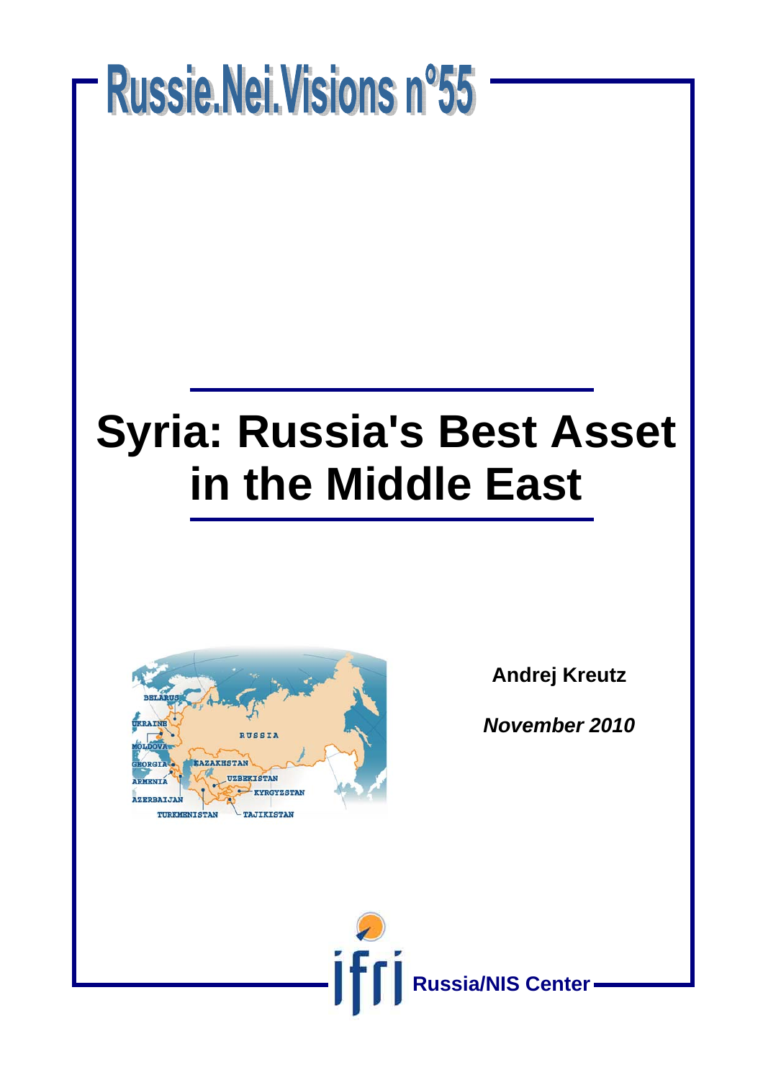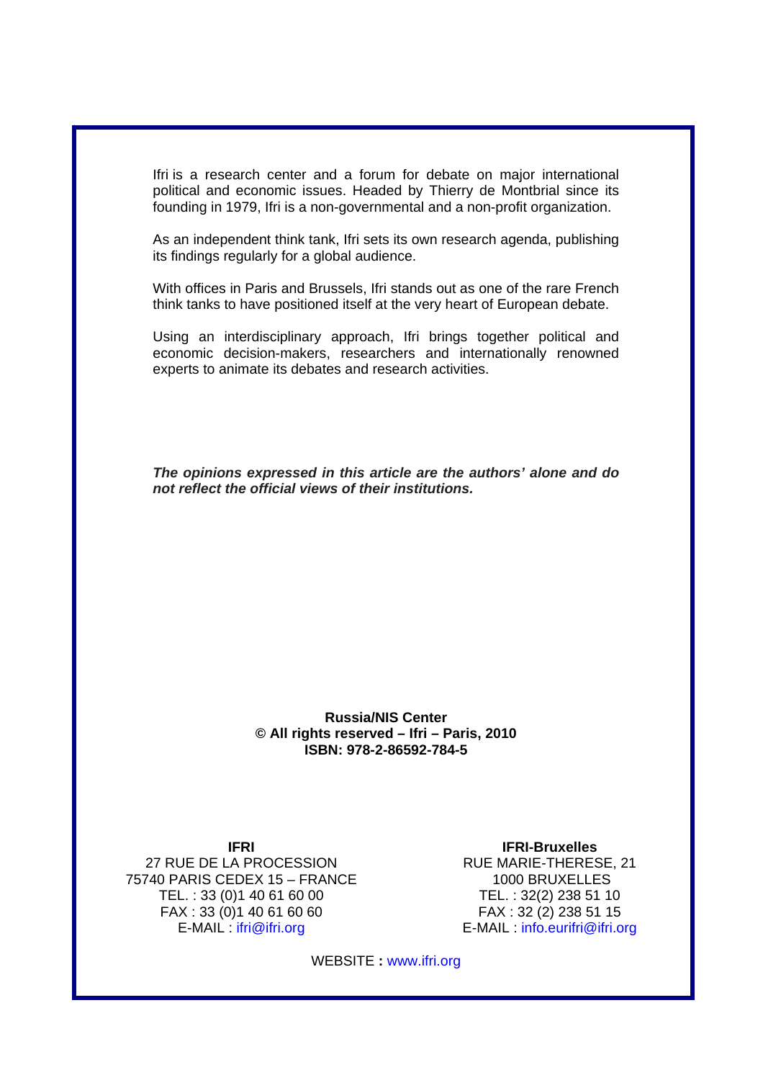Ifri is a research center and a forum for debate on major international political and economic issues. Headed by Thierry de Montbrial since its founding in 1979, Ifri is a non-governmental and a non-profit organization.

As an independent think tank, Ifri sets its own research agenda, publishing its findings regularly for a global audience.

With offices in Paris and Brussels, Ifri stands out as one of the rare French think tanks to have positioned itself at the very heart of European debate.

Using an interdisciplinary approach, Ifri brings together political and economic decision-makers, researchers and internationally renowned experts to animate its debates and research activities.

*The opinions expressed in this article are the authors' alone and do not reflect the official views of their institutions.*

#### **Russia/NIS Center © All rights reserved – Ifri – Paris, 2010 ISBN: 978-2-86592-784-5**

**IFRI** 

27 RUE DE LA PROCESSION 75740 PARIS CEDEX 15 – FRANCE TEL. : 33 (0)1 40 61 60 00 FAX : 33 (0)1 40 61 60 60 E-MAIL : ifri@ifri.org

**IFRI-Bruxelles**  RUE MARIE-THERESE, 21 1000 BRUXELLES TEL. : 32(2) 238 51 10 FAX : 32 (2) 238 51 15 E-MAIL : info.eurifri@ifri.org

WEBSITE **:** www.ifri.org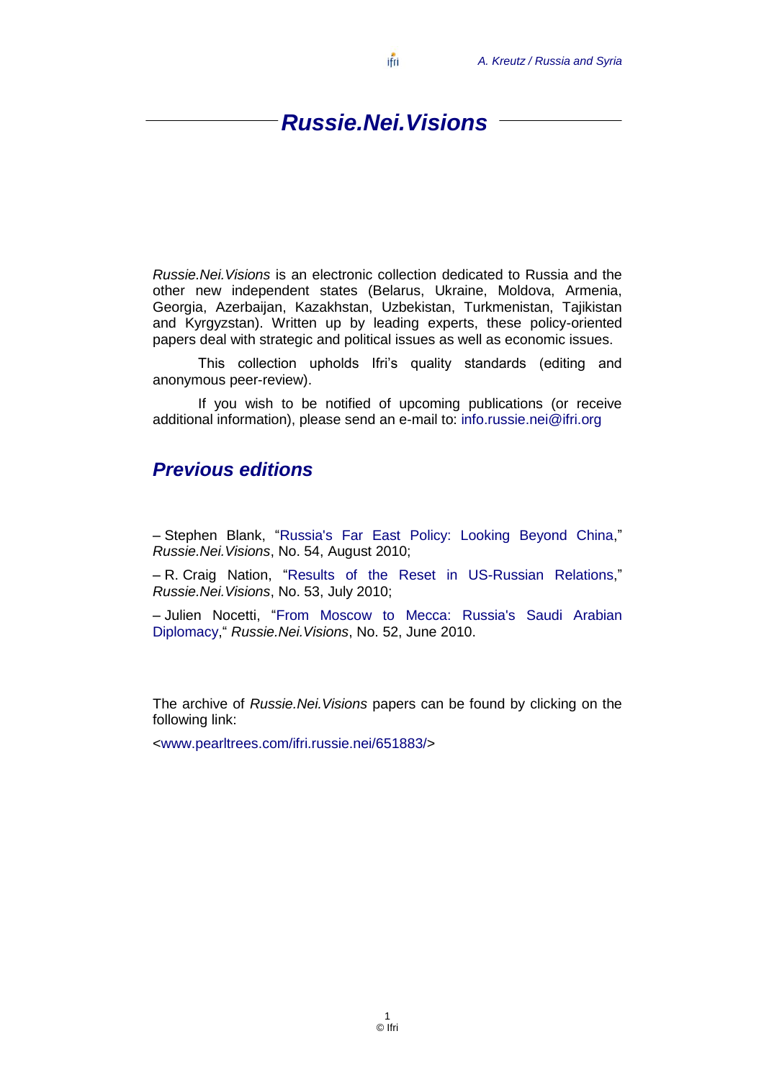### *Russie.Nei.Visions*

ifri

*Russie.Nei.Visions* is an electronic collection dedicated to Russia and the other new independent states (Belarus, Ukraine, Moldova, Armenia, Georgia, Azerbaijan, Kazakhstan, Uzbekistan, Turkmenistan, Tajikistan and Kyrgyzstan). Written up by leading experts, these policy-oriented papers deal with strategic and political issues as well as economic issues.

This collection upholds Ifri's quality standards (editing and anonymous peer-review).

If you wish to be notified of upcoming publications (or receive additional information), please send an e-mail to: [info.russie.nei@ifri.org](mailto:info.russie.nei@ifri.org)

#### *Previous editions*

- Stephen Blank, "Russia's Far East Policy: Looking Beyond China," *Russie.Nei.Visions*, No. 54, August 2010;

– R. Craig Nation, "Results of the Reset in US-Russian Relations," *Russie.Nei.Visions*, No. 53, July 2010;

– Julien Nocetti, "From Moscow to Mecca: Russia's Saudi Arabian [Diplomacy,](http://www.ifri.org/downloads/ifrinocettirussaudiarabiaengmay2010.pdf)― *Russie.Nei.Visions*, No. 52, June 2010.

The archive of *Russie.Nei.Visions* papers can be found by clicking on the following link:

[<www.pearltrees.com/ifri.russie.nei/651883/>](file:///C:/Users/SAVOIE/AppData/Local/Microsoft/Users/utilisateur/AppData/My%20Documents/www.pearltrees.com/ifri.russie.nei/651883/)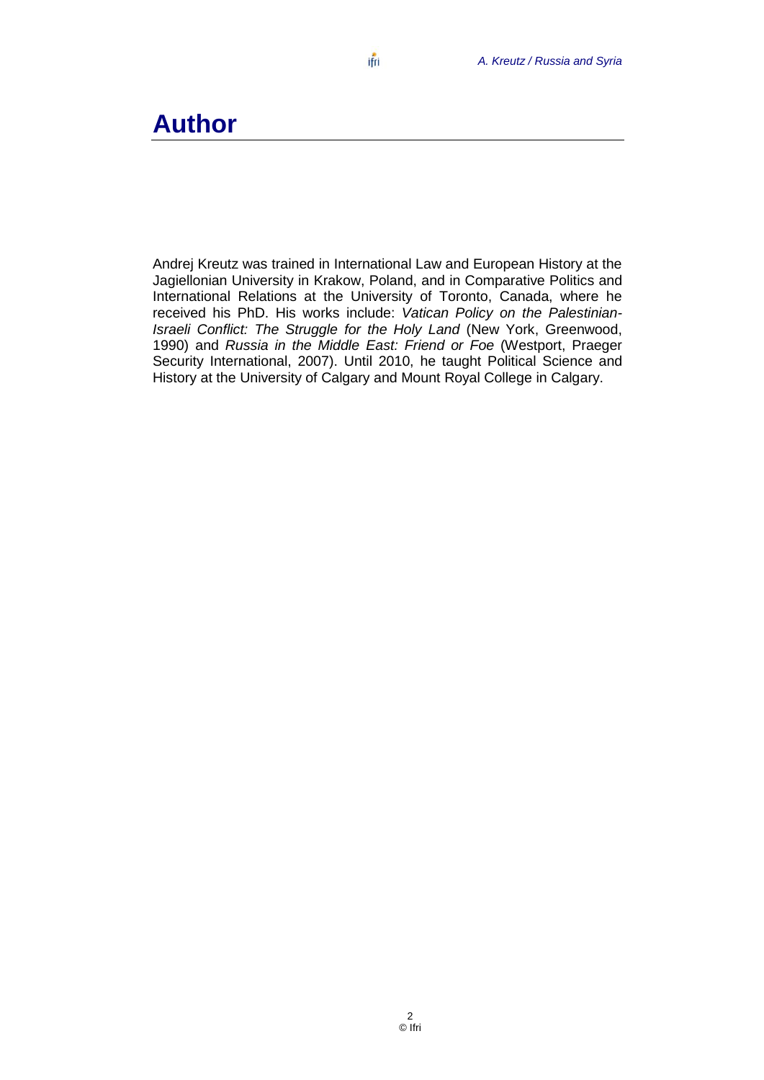## **Author**

Andrej Kreutz was trained in International Law and European History at the Jagiellonian University in Krakow, Poland, and in Comparative Politics and International Relations at the University of Toronto, Canada, where he received his PhD. His works include: *Vatican Policy on the Palestinian-Israeli Conflict: The Struggle for the Holy Land* (New York, Greenwood, 1990) and *Russia in the Middle East: Friend or Foe* (Westport, Praeger Security International, 2007). Until 2010, he taught Political Science and History at the University of Calgary and Mount Royal College in Calgary.

ifri

2 © Ifri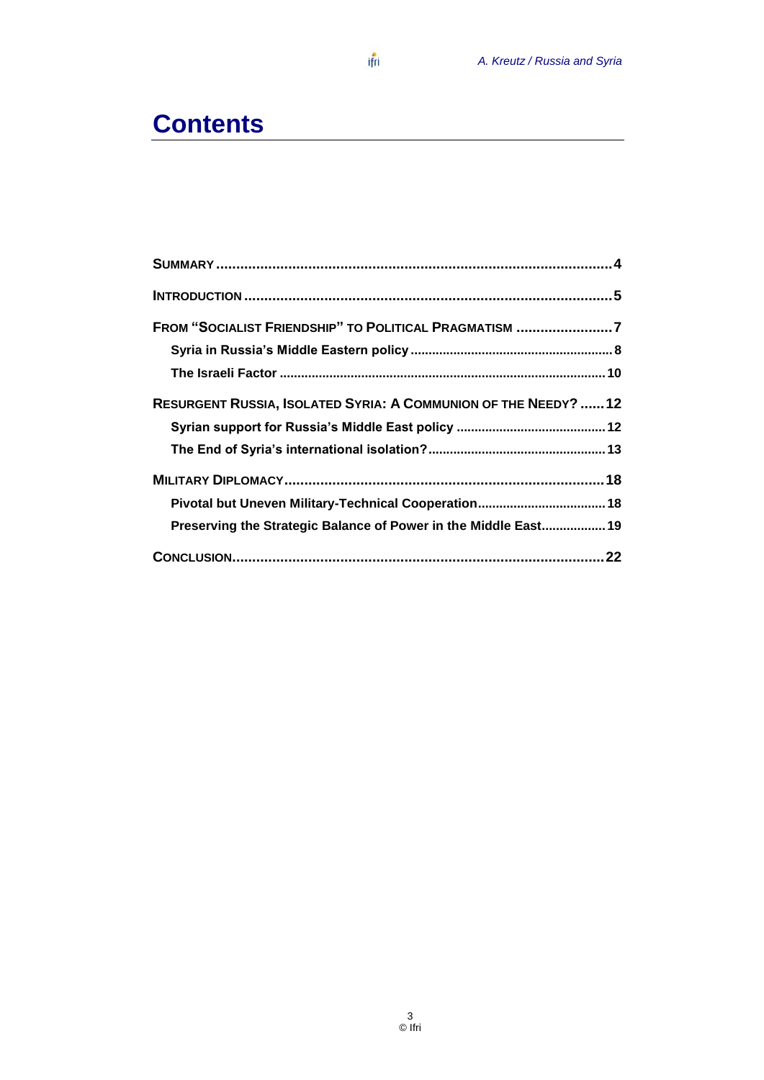## **Contents**

| FROM "SOCIALIST FRIENDSHIP" TO POLITICAL PRAGMATISM 7           |  |
|-----------------------------------------------------------------|--|
|                                                                 |  |
|                                                                 |  |
| RESURGENT RUSSIA, ISOLATED SYRIA: A COMMUNION OF THE NEEDY? 12  |  |
|                                                                 |  |
|                                                                 |  |
|                                                                 |  |
|                                                                 |  |
| Preserving the Strategic Balance of Power in the Middle East 19 |  |
|                                                                 |  |

ifri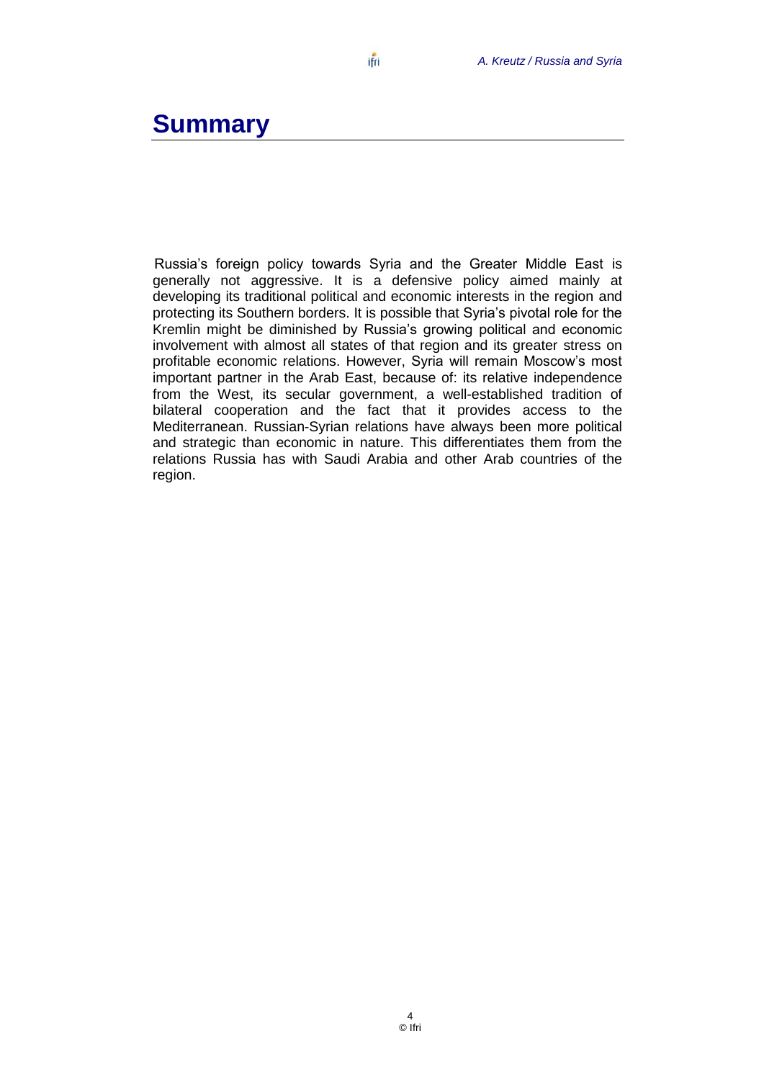## <span id="page-5-0"></span>**Summary**

Russia's foreign policy towards Syria and the Greater Middle East is generally not aggressive. It is a defensive policy aimed mainly at developing its traditional political and economic interests in the region and protecting its Southern borders. It is possible that Syria's pivotal role for the Kremlin might be diminished by Russia's growing political and economic involvement with almost all states of that region and its greater stress on profitable economic relations. However, Syria will remain Moscow's most important partner in the Arab East, because of: its relative independence from the West, its secular government, a well-established tradition of bilateral cooperation and the fact that it provides access to the Mediterranean. Russian-Syrian relations have always been more political and strategic than economic in nature. This differentiates them from the relations Russia has with Saudi Arabia and other Arab countries of the region.

ifri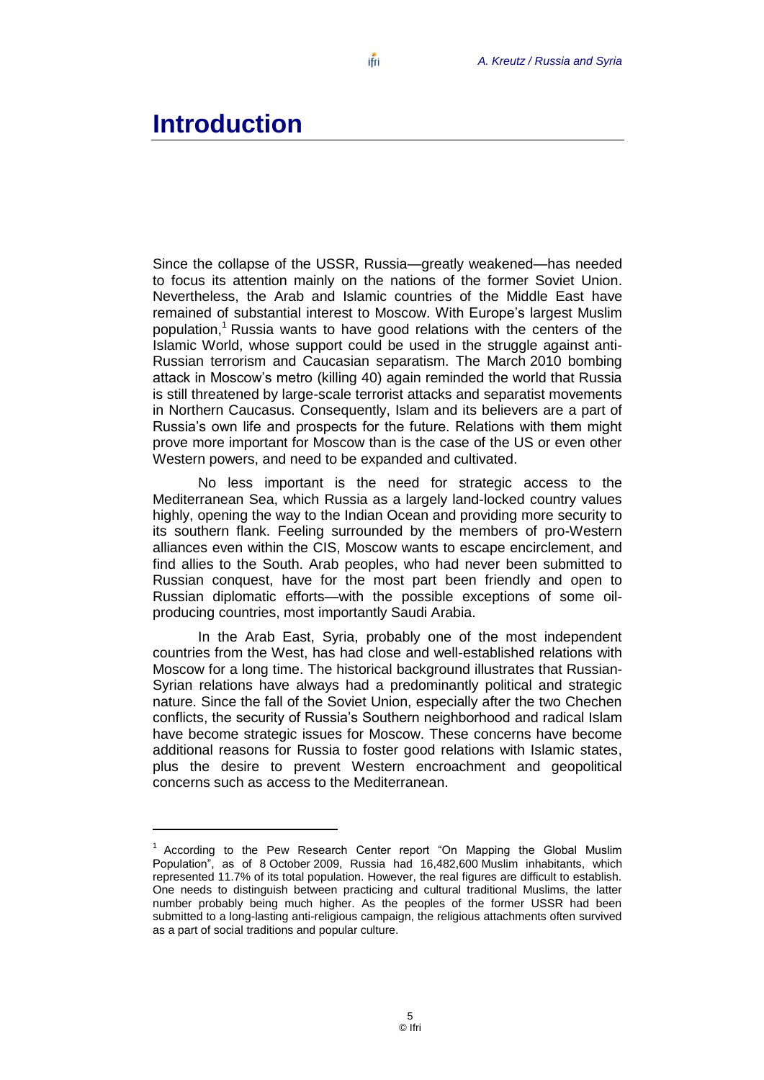### <span id="page-6-0"></span>**Introduction**

 $\overline{a}$ 

Since the collapse of the USSR, Russia—greatly weakened—has needed to focus its attention mainly on the nations of the former Soviet Union. Nevertheless, the Arab and Islamic countries of the Middle East have remained of substantial interest to Moscow. With Europe's largest Muslim population,<sup>1</sup> Russia wants to have good relations with the centers of the Islamic World, whose support could be used in the struggle against anti-Russian terrorism and Caucasian separatism. The March 2010 bombing attack in Moscow's metro (killing 40) again reminded the world that Russia is still threatened by large-scale terrorist attacks and separatist movements in Northern Caucasus. Consequently, Islam and its believers are a part of Russia's own life and prospects for the future. Relations with them might prove more important for Moscow than is the case of the US or even other Western powers, and need to be expanded and cultivated.

No less important is the need for strategic access to the Mediterranean Sea, which Russia as a largely land-locked country values highly, opening the way to the Indian Ocean and providing more security to its southern flank. Feeling surrounded by the members of pro-Western alliances even within the CIS, Moscow wants to escape encirclement, and find allies to the South. Arab peoples, who had never been submitted to Russian conquest, have for the most part been friendly and open to Russian diplomatic efforts—with the possible exceptions of some oilproducing countries, most importantly Saudi Arabia.

In the Arab East, Syria, probably one of the most independent countries from the West, has had close and well-established relations with Moscow for a long time. The historical background illustrates that Russian-Syrian relations have always had a predominantly political and strategic nature. Since the fall of the Soviet Union, especially after the two Chechen conflicts, the security of Russia's Southern neighborhood and radical Islam have become strategic issues for Moscow. These concerns have become additional reasons for Russia to foster good relations with Islamic states, plus the desire to prevent Western encroachment and geopolitical concerns such as access to the Mediterranean.

 $1$  According to the Pew Research Center report "On Mapping the Global Muslim Population<sup>7</sup>, as of 8 October 2009, Russia had 16,482,600 Muslim inhabitants, which represented 11.7% of its total population. However, the real figures are difficult to establish. One needs to distinguish between practicing and cultural traditional Muslims, the latter number probably being much higher. As the peoples of the former USSR had been submitted to a long-lasting anti-religious campaign, the religious attachments often survived as a part of social traditions and popular culture.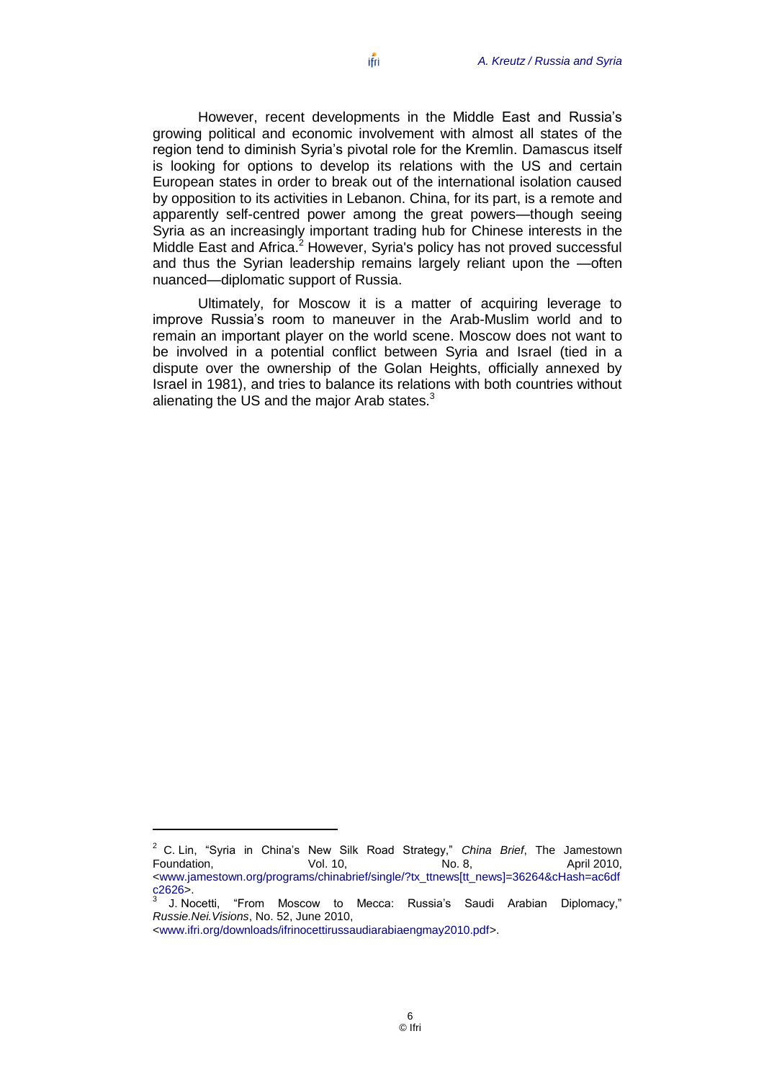However, recent developments in the Middle East and Russia's growing political and economic involvement with almost all states of the region tend to diminish Syria's pivotal role for the Kremlin. Damascus itself is looking for options to develop its relations with the US and certain European states in order to break out of the international isolation caused by opposition to its activities in Lebanon. China, for its part, is a remote and apparently self-centred power among the great powers—though seeing Syria as an increasingly important trading hub for Chinese interests in the Middle East and Africa.<sup>2</sup> However, Syria's policy has not proved successful and thus the Syrian leadership remains largely reliant upon the —often nuanced—diplomatic support of Russia.

Ultimately, for Moscow it is a matter of acquiring leverage to improve Russia's room to maneuver in the Arab-Muslim world and to remain an important player on the world scene. Moscow does not want to be involved in a potential conflict between Syria and Israel (tied in a dispute over the ownership of the Golan Heights, officially annexed by Israel in 1981), and tries to balance its relations with both countries without alienating the US and the major Arab states.<sup>3</sup>

 $\overline{a}$ 

<sup>&</sup>lt;sup>2</sup> C. Lin, "Syria in China's New Silk Road Strategy," China Brief, The Jamestown Foundation,  $\begin{array}{ccc} \text{Vol. 10,} & \text{No. 8,} & \text{April 2010,} \end{array}$ [<www.jamestown.org/programs/chinabrief/single/?tx\\_ttnews\[tt\\_news\]=36264&cHash=ac6df](http://www.jamestown.org/programs/chinabrief/single/?tx_ttnews%5btt_news%5d=36264&cHash=ac6dfc2626) [c2626>](http://www.jamestown.org/programs/chinabrief/single/?tx_ttnews%5btt_news%5d=36264&cHash=ac6dfc2626).<br><sup>3</sup> LNe

J. Nocetti, "From Moscow to Mecca: Russia's Saudi Arabian Diplomacy," *Russie.Nei.Visions*, No. 52, June 2010,

[<sup>&</sup>lt;www.ifri.org/downloads/ifrinocettirussaudiarabiaengmay2010.pdf>](http://www.ifri.org/downloads/ifrinocettirussaudiarabiaengmay2010.pdf).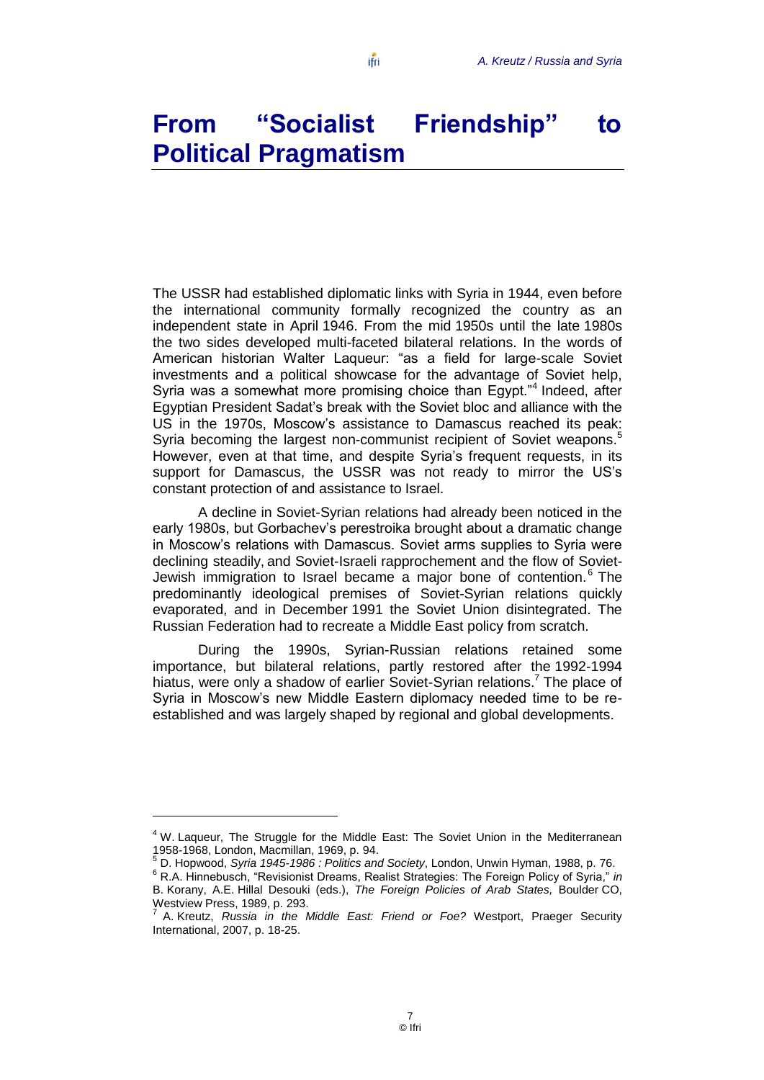ifri

# <span id="page-8-0"></span>**From "Socialist Friendship" to Political Pragmatism**

The USSR had established diplomatic links with Syria in 1944, even before the international community formally recognized the country as an independent state in April 1946. From the mid 1950s until the late 1980s the two sides developed multi-faceted bilateral relations. In the words of American historian Walter Laqueur: "as a field for large-scale Soviet investments and a political showcase for the advantage of Soviet help, Syria was a somewhat more promising choice than Egypt."<sup>4</sup> Indeed, after Egyptian President Sadat's break with the Soviet bloc and alliance with the US in the 1970s, Moscow's assistance to Damascus reached its peak: Syria becoming the largest non-communist recipient of Soviet weapons.<sup>5</sup> However, even at that time, and despite Syria's frequent requests, in its support for Damascus, the USSR was not ready to mirror the US's constant protection of and assistance to Israel.

A decline in Soviet-Syrian relations had already been noticed in the early 1980s, but Gorbachev's perestroika brought about a dramatic change in Moscow's relations with Damascus. Soviet arms supplies to Syria were declining steadily, and Soviet-Israeli rapprochement and the flow of Soviet-Jewish immigration to Israel became a major bone of contention.<sup>6</sup> The predominantly ideological premises of Soviet-Syrian relations quickly evaporated, and in December 1991 the Soviet Union disintegrated. The Russian Federation had to recreate a Middle East policy from scratch.

During the 1990s, Syrian-Russian relations retained some importance, but bilateral relations, partly restored after the 1992-1994 hiatus, were only a shadow of earlier Soviet-Syrian relations.<sup>7</sup> The place of Syria in Moscow's new Middle Eastern diplomacy needed time to be reestablished and was largely shaped by regional and global developments.

<sup>&</sup>lt;sup>4</sup> W. Laqueur, The Struggle for the Middle East: The Soviet Union in the Mediterranean 1958-1968, London, Macmillan, 1969, p. 94.

<sup>5</sup> D. Hopwood, *Syria 1945-1986 : Politics and Society*, London, Unwin Hyman, 1988, p. 76. <sup>6</sup> R.A. Hinnebusch, "Revisionist Dreams, Realist Strategies: The Foreign Policy of Syria," in B. Korany, A.E. Hillal Desouki (eds.), *The Foreign Policies of Arab States,* Boulder CO,

Westview Press, 1989, p. 293.<br><sup>7</sup> A. Kroutz - Russia, in the J A. Kreutz, *Russia in the Middle East: Friend or Foe?* Westport, Praeger Security International, 2007, p. 18-25.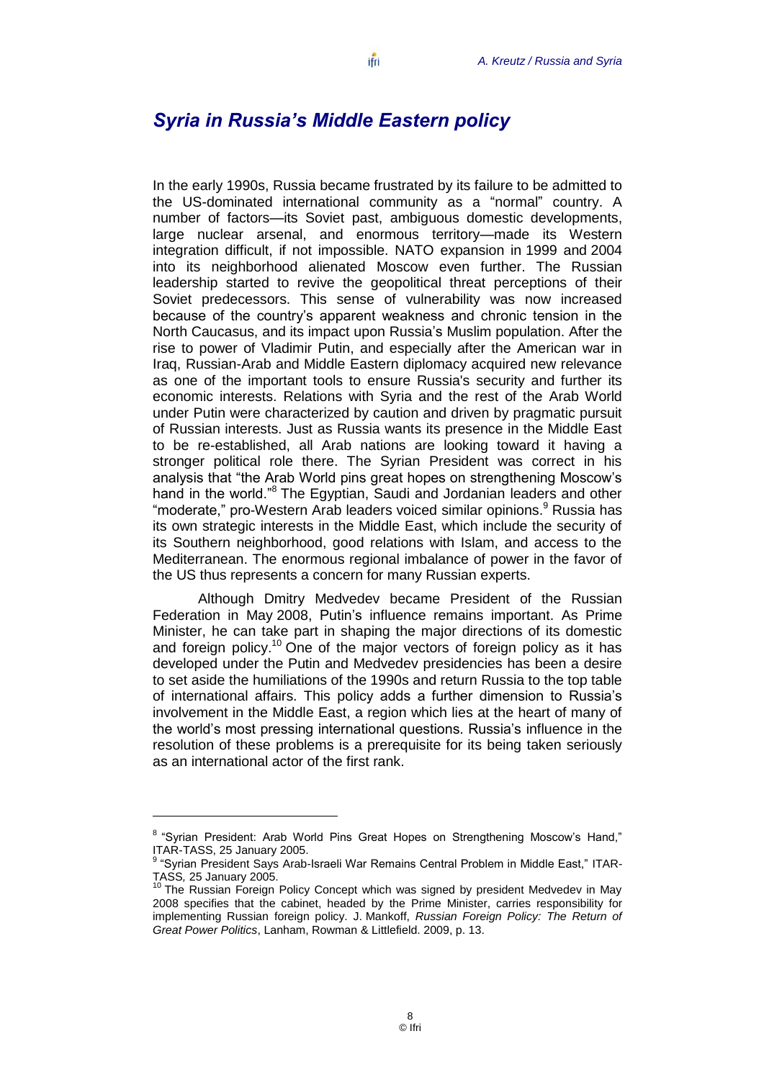#### <span id="page-9-0"></span>*Syria in Russia's Middle Eastern policy*

In the early 1990s, Russia became frustrated by its failure to be admitted to the US-dominated international community as a "normal" country. A number of factors—its Soviet past, ambiguous domestic developments, large nuclear arsenal, and enormous territory—made its Western integration difficult, if not impossible. NATO expansion in 1999 and 2004 into its neighborhood alienated Moscow even further. The Russian leadership started to revive the geopolitical threat perceptions of their Soviet predecessors. This sense of vulnerability was now increased because of the country's apparent weakness and chronic tension in the North Caucasus, and its impact upon Russia's Muslim population. After the rise to power of Vladimir Putin, and especially after the American war in Iraq, Russian-Arab and Middle Eastern diplomacy acquired new relevance as one of the important tools to ensure Russia's security and further its economic interests. Relations with Syria and the rest of the Arab World under Putin were characterized by caution and driven by pragmatic pursuit of Russian interests. Just as Russia wants its presence in the Middle East to be re-established, all Arab nations are looking toward it having a stronger political role there. The Syrian President was correct in his analysis that "the Arab World pins great hopes on strengthening Moscow's hand in the world.<sup>8</sup> The Egyptian, Saudi and Jordanian leaders and other "moderate," pro-Western Arab leaders voiced similar opinions.<sup>9</sup> Russia has its own strategic interests in the Middle East, which include the security of its Southern neighborhood, good relations with Islam, and access to the Mediterranean. The enormous regional imbalance of power in the favor of the US thus represents a concern for many Russian experts.

Although Dmitry Medvedev became President of the Russian Federation in May 2008, Putin's influence remains important. As Prime Minister, he can take part in shaping the major directions of its domestic and foreign policy.<sup>10</sup> One of the major vectors of foreign policy as it has developed under the Putin and Medvedev presidencies has been a desire to set aside the humiliations of the 1990s and return Russia to the top table of international affairs. This policy adds a further dimension to Russia's involvement in the Middle East, a region which lies at the heart of many of the world's most pressing international questions. Russia's influence in the resolution of these problems is a prerequisite for its being taken seriously as an international actor of the first rank.

<sup>&</sup>lt;sup>8</sup> "Syrian President: Arab World Pins Great Hopes on Strengthening Moscow's Hand," ITAR-TASS, 25 January 2005.

<sup>&</sup>lt;sup>9</sup> "Syrian President Says Arab-Israeli War Remains Central Problem in Middle East," ITAR-TASS*,* 25 January 2005.

 $10$  The Russian Foreign Policy Concept which was signed by president Medvedev in May 2008 specifies that the cabinet, headed by the Prime Minister, carries responsibility for implementing Russian foreign policy. J. Mankoff, *Russian Foreign Policy: The Return of Great Power Politics*, Lanham, Rowman & Littlefield. 2009, p. 13.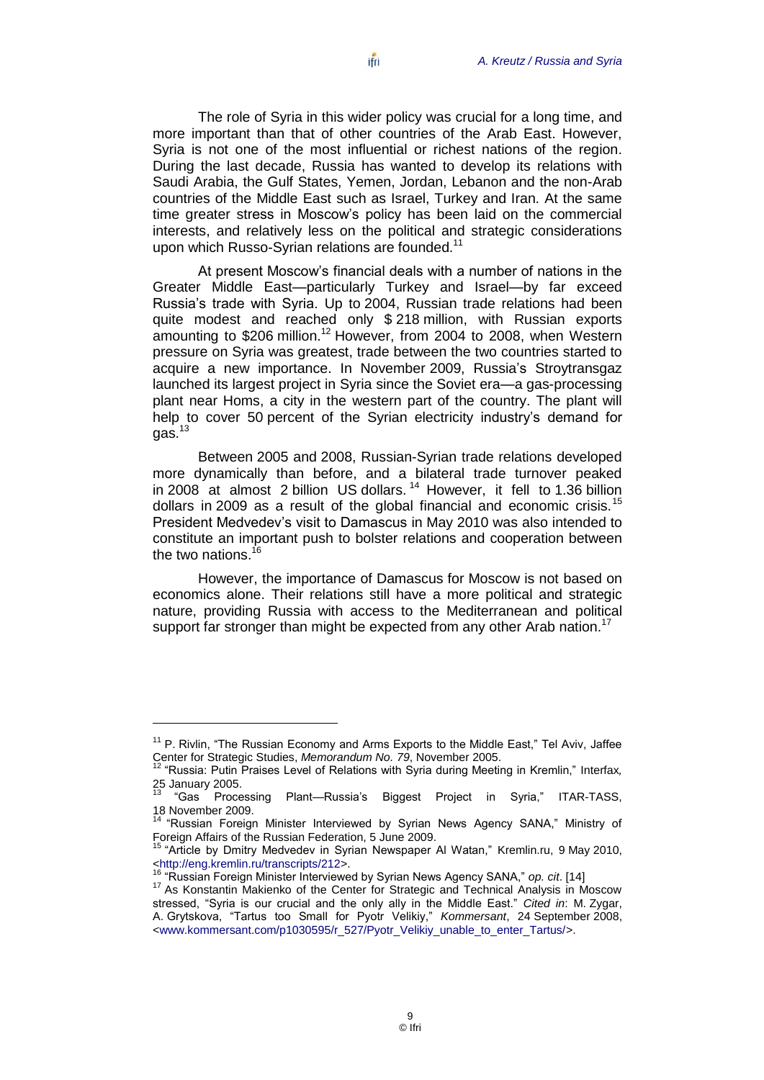The role of Syria in this wider policy was crucial for a long time, and more important than that of other countries of the Arab East. However, Syria is not one of the most influential or richest nations of the region. During the last decade, Russia has wanted to develop its relations with Saudi Arabia, the Gulf States, Yemen, Jordan, Lebanon and the non-Arab countries of the Middle East such as Israel, Turkey and Iran. At the same time greater stress in Moscow's policy has been laid on the commercial interests, and relatively less on the political and strategic considerations upon which Russo-Syrian relations are founded.<sup>11</sup>

At present Moscow's financial deals with a number of nations in the Greater Middle East—particularly Turkey and Israel—by far exceed Russia's trade with Syria. Up to 2004, Russian trade relations had been quite modest and reached only \$ 218 million, with Russian exports amounting to \$206 million.<sup>12</sup> However, from 2004 to 2008, when Western pressure on Syria was greatest, trade between the two countries started to acquire a new importance. In November 2009, Russia's Stroytransgaz launched its largest project in Syria since the Soviet era—a gas-processing plant near Homs, a city in the western part of the country. The plant will help to cover 50 percent of the Syrian electricity industry's demand for gas.<sup>13</sup>

Between 2005 and 2008, Russian-Syrian trade relations developed more dynamically than before, and a bilateral trade turnover peaked in 2008 at almost 2 billion US dollars.<sup>14</sup> However, it fell to 1.36 billion dollars in 2009 as a result of the global financial and economic crisis.<sup>15</sup> President Medvedev's visit to Damascus in May 2010 was also intended to constitute an important push to bolster relations and cooperation between the two nations. $16$ 

However, the importance of Damascus for Moscow is not based on economics alone. Their relations still have a more political and strategic nature, providing Russia with access to the Mediterranean and political support far stronger than might be expected from any other Arab nation.<sup>17</sup>

 $11$  P. Rivlin, "The Russian Economy and Arms Exports to the Middle East," Tel Aviv, Jaffee Center for Strategic Studies, *Memorandum No. 79*, November 2005.

<sup>&</sup>lt;sup>12</sup> "Russia: Putin Praises Level of Relations with Syria during Meeting in Kremlin," Interfax, 25 January 2005.

<sup>&</sup>quot;Gas Processing Plant—Russia's Biggest Project in Syria," ITAR-TASS, 18 November 2009.

<sup>&</sup>lt;sup>14</sup> "Russian Foreign Minister Interviewed by Syrian News Agency SANA," Ministry of Foreign Affairs of the Russian Federation, 5 June 2009.

<sup>15</sup> ―Article by Dmitry Medvedev in Syrian Newspaper Al Watan,‖ Kremlin.ru, 9 May 2010, [<http://eng.kremlin.ru/transcripts/212>](http://eng.kremlin.ru/transcripts/212).

<sup>&</sup>lt;sup>16</sup> "Russian Foreign Minister Interviewed by Syrian News Agency SANA," op. cit. [14]

<sup>&</sup>lt;sup>17</sup> As Konstantin Makienko of the Center for Strategic and Technical Analysis in Moscow stressed, "Syria is our crucial and the only ally in the Middle East." Cited in: M. Zygar, A. Grytskova, "Tartus too Small for Pyotr Velikiy," Kommersant, 24 September 2008, [<www.kommersant.com/p1030595/r\\_527/Pyotr\\_Velikiy\\_unable\\_to\\_enter\\_Tartus/>](http://www.kommersant.com/p1030595/r_527/Pyotr_Velikiy_unable_to_enter_Tartus/).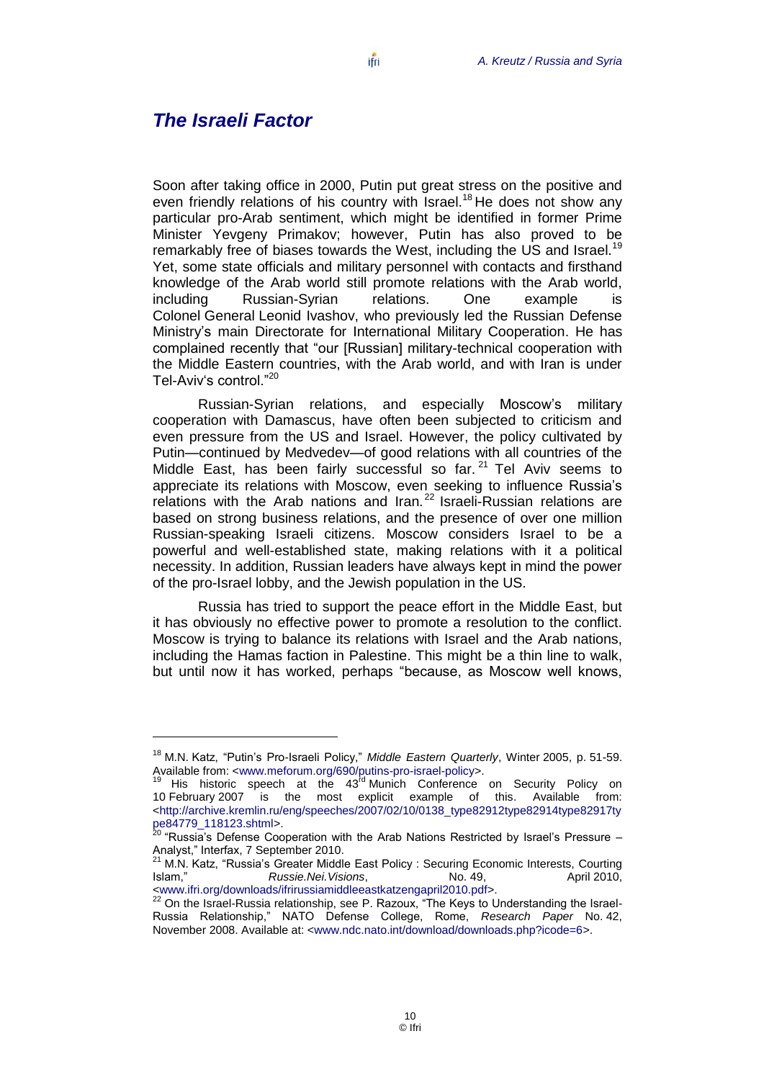#### <span id="page-11-0"></span>*The Israeli Factor*

 $\overline{a}$ 

Soon after taking office in 2000, Putin put great stress on the positive and even friendly relations of his country with Israel.<sup>18</sup> He does not show any particular pro-Arab sentiment, which might be identified in former Prime Minister Yevgeny Primakov; however, Putin has also proved to be remarkably free of biases towards the West, including the US and Israel.<sup>19</sup> Yet, some state officials and military personnel with contacts and firsthand knowledge of the Arab world still promote relations with the Arab world, including Russian-Syrian relations. One example is Colonel General Leonid Ivashov, who previously led the Russian Defense Ministry's main Directorate for International Military Cooperation. He has complained recently that "our [Russian] military-technical cooperation with the Middle Eastern countries, with the Arab world, and with Iran is under Tel-Aviv's control."<sup>20</sup>

Russian-Syrian relations, and especially Moscow's military cooperation with Damascus, have often been subjected to criticism and even pressure from the US and Israel. However, the policy cultivated by Putin—continued by Medvedev—of good relations with all countries of the Middle East, has been fairly successful so far.<sup>21</sup> Tel Aviv seems to appreciate its relations with Moscow, even seeking to influence Russia's relations with the Arab nations and Iran.<sup>22</sup> Israeli-Russian relations are based on strong business relations, and the presence of over one million Russian-speaking Israeli citizens. Moscow considers Israel to be a powerful and well-established state, making relations with it a political necessity. In addition, Russian leaders have always kept in mind the power of the pro-Israel lobby, and the Jewish population in the US.

Russia has tried to support the peace effort in the Middle East, but it has obviously no effective power to promote a resolution to the conflict. Moscow is trying to balance its relations with Israel and the Arab nations, including the Hamas faction in Palestine. This might be a thin line to walk, but until now it has worked, perhaps "because, as Moscow well knows,

<sup>&</sup>lt;sup>18</sup> M.N. Katz, "Putin's Pro-Israeli Policy," Middle Eastern Quarterly, Winter 2005, p. 51-59. Available from: [<www.meforum.org/690/putins-pro-israel-policy>](http://www.meforum.org/690/putins-pro-israel-policy).

<sup>&</sup>lt;sup>19</sup> His historic speech at the  $43^{\text{rd}}$  Munich Conference on Security Policy on 10 February 2007 is the most explicit example of this. Available from: [<http://archive.kremlin.ru/eng/speeches/2007/02/10/0138\\_type82912type82914type82917ty](http://archive.kremlin.ru/eng/speeches/2007/02/10/0138_type82912type82914type82917type84779_118123.shtml) [pe84779\\_118123.shtml>](http://archive.kremlin.ru/eng/speeches/2007/02/10/0138_type82912type82914type82917type84779_118123.shtml).

<sup>&</sup>quot;Russia's Defense Cooperation with the Arab Nations Restricted by Israel's Pressure -Analyst." Interfax, 7 September 2010.

<sup>21</sup> M.N. Katz, "Russia's Greater Middle East Policy : Securing Economic Interests, Courting 15<br>Islam." Russie.Nei.Visions. No. 49. No. 49. April 2010. Islam,‖ *Russie.Nei.Visions*, No. 49, April 2010, [<www.ifri.org/downloads/ifrirussiamiddleeastkatzengapril2010.pdf>](http://www.ifri.org/downloads/ifrirussiamiddleeastkatzengapril2010.pdf).

 $22$  On the Israel-Russia relationship, see P. Razoux, "The Keys to Understanding the Israel-Russia Relationship,‖ NATO Defense College, Rome, *Research Paper* No. 42, November 2008. Available at: [<www.ndc.nato.int/download/downloads.php?icode=6>](http://www.ndc.nato.int/download/downloads.php?icode=6).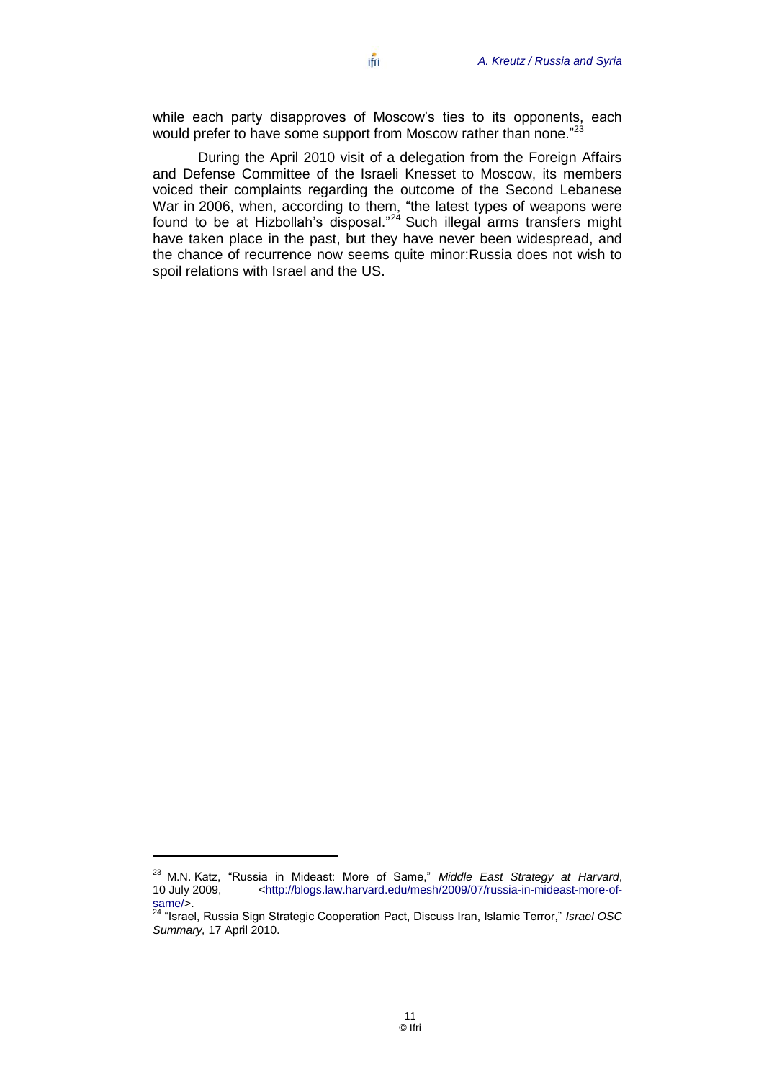while each party disapproves of Moscow's ties to its opponents, each would prefer to have some support from Moscow rather than none."<sup>23</sup>

During the April 2010 visit of a delegation from the Foreign Affairs and Defense Committee of the Israeli Knesset to Moscow, its members voiced their complaints regarding the outcome of the Second Lebanese War in 2006, when, according to them, "the latest types of weapons were found to be at Hizbollah's disposal."<sup>24</sup> Such illegal arms transfers might have taken place in the past, but they have never been widespread, and the chance of recurrence now seems quite minor:Russia does not wish to spoil relations with Israel and the US.

<sup>&</sup>lt;sup>23</sup> M.N. Katz, "Russia in Mideast: More of Same," Middle East Strategy at Harvard,<br>10 July 2009, <http://blogs.law.harvard.edu/mesh/2009/07/russia-in-mideast-more-of-10 July 2009, [<http://blogs.law.harvard.edu/mesh/2009/07/russia-in-mideast-more-of](http://blogs.law.harvard.edu/mesh/2009/07/russia-in-mideast-more-of-same/)[same/>](http://blogs.law.harvard.edu/mesh/2009/07/russia-in-mideast-more-of-same/).

<sup>&</sup>lt;sup>24</sup> "Israel, Russia Sign Strategic Cooperation Pact, Discuss Iran, Islamic Terror," *Israel OSC Summary,* 17 April 2010.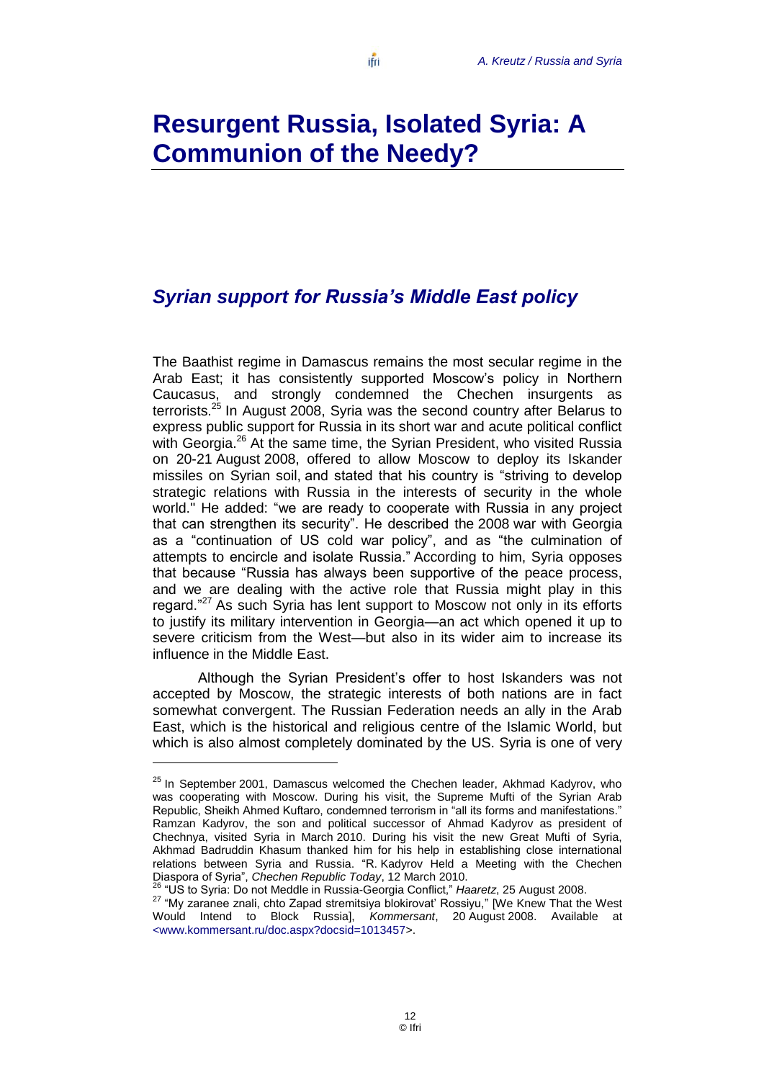### <span id="page-13-1"></span><span id="page-13-0"></span>*Syrian support for Russia's Middle East policy*

The Baathist regime in Damascus remains the most secular regime in the Arab East; it has consistently supported Moscow's policy in Northern Caucasus, and strongly condemned the Chechen insurgents as terrorists.<sup>25</sup> In August 2008, Syria was the second country after Belarus to express public support for Russia in its short war and acute political conflict with Georgia.<sup>26</sup> At the same time, the Syrian President, who visited Russia on 20-21 August 2008, offered to allow Moscow to deploy its Iskander missiles on Syrian soil, and stated that his country is "striving to develop strategic relations with Russia in the interests of security in the whole world." He added: "we are ready to cooperate with Russia in any project that can strengthen its security". He described the 2008 war with Georgia as a "continuation of US cold war policy", and as "the culmination of attempts to encircle and isolate Russia.‖ According to him, Syria opposes that because "Russia has always been supportive of the peace process, and we are dealing with the active role that Russia might play in this regard.<sup>"27</sup> As such Syria has lent support to Moscow not only in its efforts to justify its military intervention in Georgia—an act which opened it up to severe criticism from the West—but also in its wider aim to increase its influence in the Middle East.

Although the Syrian President's offer to host Iskanders was not accepted by Moscow, the strategic interests of both nations are in fact somewhat convergent. The Russian Federation needs an ally in the Arab East, which is the historical and religious centre of the Islamic World, but which is also almost completely dominated by the US. Syria is one of very

<sup>26</sup> "US to Syria: Do not Meddle in Russia-Georgia Conflict," Haaretz, 25 August 2008.

 $25$  In September 2001, Damascus welcomed the Chechen leader, Akhmad Kadyroy, who was cooperating with Moscow. During his visit, the Supreme Mufti of the Syrian Arab Republic, Sheikh Ahmed Kuftaro, condemned terrorism in "all its forms and manifestations." Ramzan Kadyrov, the son and political successor of Ahmad Kadyrov as president of Chechnya, visited Syria in March 2010. During his visit the new Great Mufti of Syria, Akhmad Badruddin Khasum thanked him for his help in establishing close international relations between Syria and Russia. "R. Kadyrov Held a Meeting with the Chechen Diaspora of Syria‖, *Chechen Republic Today*, 12 March 2010.

<sup>&</sup>lt;sup>27</sup> "My zaranee znali, chto Zapad stremitsiya blokirovat' Rossiyu," [We Knew That the West Would Intend to Block Russia], *Kommersant*, 20 August 2008. Available at [<www.kommersant.ru/doc.aspx?docsid=1013457>](http://www.kommersant.ru/doc.aspx?docsid=1013457).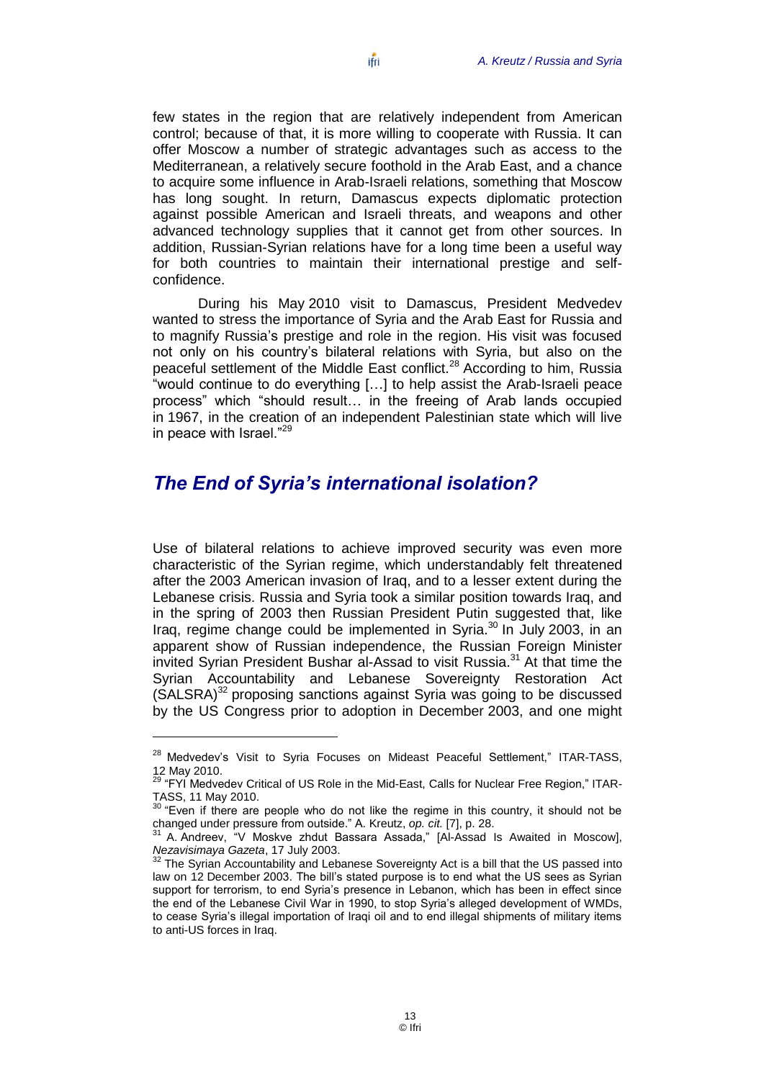few states in the region that are relatively independent from American control; because of that, it is more willing to cooperate with Russia. It can offer Moscow a number of strategic advantages such as access to the Mediterranean, a relatively secure foothold in the Arab East, and a chance to acquire some influence in Arab-Israeli relations, something that Moscow has long sought. In return, Damascus expects diplomatic protection against possible American and Israeli threats, and weapons and other advanced technology supplies that it cannot get from other sources. In addition, Russian-Syrian relations have for a long time been a useful way for both countries to maintain their international prestige and selfconfidence.

During his May 2010 visit to Damascus, President Medvedev wanted to stress the importance of Syria and the Arab East for Russia and to magnify Russia's prestige and role in the region. His visit was focused not only on his country's bilateral relations with Syria, but also on the peaceful settlement of the Middle East conflict.<sup>28</sup> According to him, Russia ―would continue to do everything […] to help assist the Arab-Israeli peace process" which "should result... in the freeing of Arab lands occupied in 1967, in the creation of an independent Palestinian state which will live in peace with Israel. $^{29}$ 

#### <span id="page-14-0"></span>*The End of Syria's international isolation?*

Use of bilateral relations to achieve improved security was even more characteristic of the Syrian regime, which understandably felt threatened after the 2003 American invasion of Iraq, and to a lesser extent during the Lebanese crisis. Russia and Syria took a similar position towards Iraq, and in the spring of 2003 then Russian President Putin suggested that, like Iraq, regime change could be implemented in Syria.<sup>30</sup> In July 2003, in an apparent show of Russian independence, the Russian Foreign Minister invited Syrian President Bushar al-Assad to visit Russia.<sup>31</sup> At that time the Syrian Accountability and Lebanese Sovereignty Restoration Act  $(SALSRA)^{32}$  proposing sanctions against Syria was going to be discussed by the US Congress prior to adoption in December 2003, and one might

 $\overline{a}$ 

 $28$  Medvedev's Visit to Syria Focuses on Mideast Peaceful Settlement," ITAR-TASS, 12 May 2010.

<sup>&</sup>lt;sup>29</sup> "FYI Medvedev Critical of US Role in the Mid-East, Calls for Nuclear Free Region," ITAR-TASS, 11 May 2010.

<sup>30</sup> ―Even if there are people who do not like the regime in this country, it should not be changed under pressure from outside.‖ A. Kreutz, *op. cit.* [7], p. 28.

A. Andreev, "V Moskve zhdut Bassara Assada," [Al-Assad Is Awaited in Moscow], *Nezavisimaya Gazeta*, 17 July 2003.

<sup>&</sup>lt;sup>32</sup> The Syrian Accountability and Lebanese Sovereignty Act is a bill that the US passed into law on 12 December 2003. The bill's stated purpose is to end what the US sees as Syrian support for terrorism, to end Syria's presence in Lebanon, which has been in effect since the end of the Lebanese Civil War in 1990, to stop Syria's alleged development of WMDs, to cease Syria's illegal importation of Iraqi oil and to end illegal shipments of military items to anti-US forces in Iraq.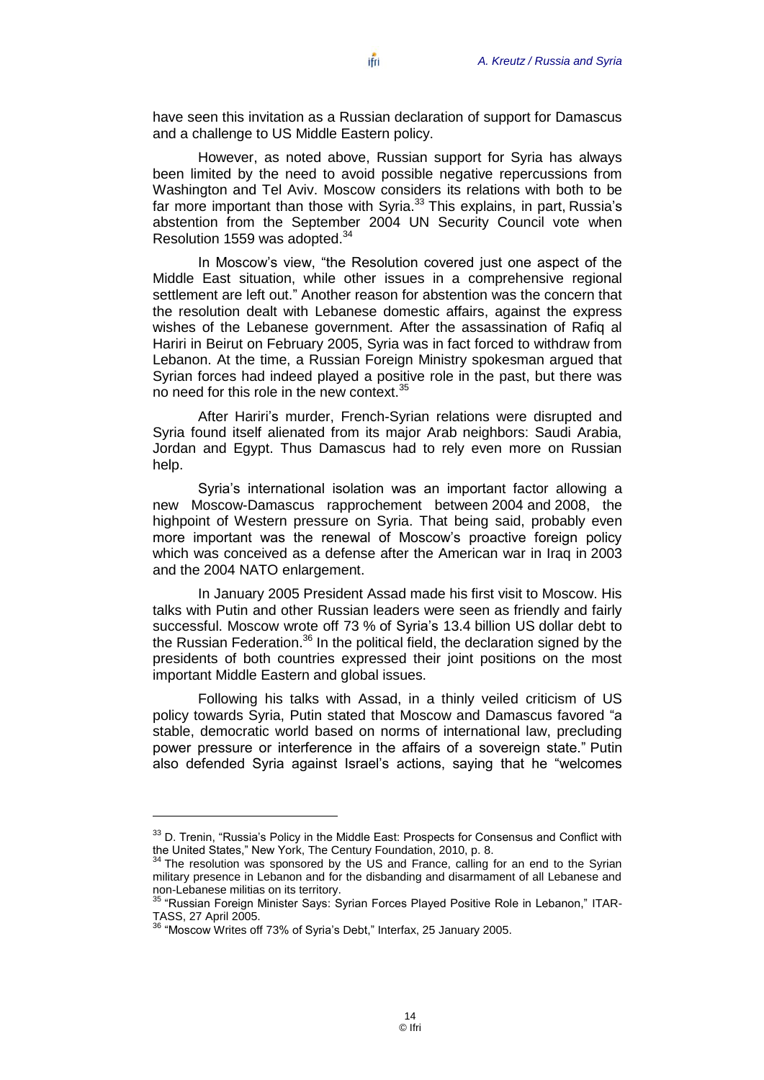have seen this invitation as a Russian declaration of support for Damascus and a challenge to US Middle Eastern policy.

However, as noted above, Russian support for Syria has always been limited by the need to avoid possible negative repercussions from Washington and Tel Aviv. Moscow considers its relations with both to be far more important than those with Syria.<sup>33</sup> This explains, in part, Russia's abstention from the September 2004 UN Security Council vote when Resolution 1559 was adopted.<sup>34</sup>

In Moscow's view, "the Resolution covered just one aspect of the Middle East situation, while other issues in a comprehensive regional settlement are left out." Another reason for abstention was the concern that the resolution dealt with Lebanese domestic affairs, against the express wishes of the Lebanese government. After the assassination of Rafiq al Hariri in Beirut on February 2005, Syria was in fact forced to withdraw from Lebanon. At the time, a Russian Foreign Ministry spokesman argued that Syrian forces had indeed played a positive role in the past, but there was no need for this role in the new context.<sup>35</sup>

After Hariri's murder, French-Syrian relations were disrupted and Syria found itself alienated from its major Arab neighbors: Saudi Arabia, Jordan and Egypt. Thus Damascus had to rely even more on Russian help.

Syria's international isolation was an important factor allowing a new Moscow-Damascus rapprochement between 2004 and 2008, the highpoint of Western pressure on Syria. That being said, probably even more important was the renewal of Moscow's proactive foreign policy which was conceived as a defense after the American war in Iraq in 2003 and the 2004 NATO enlargement.

In January 2005 President Assad made his first visit to Moscow. His talks with Putin and other Russian leaders were seen as friendly and fairly successful. Moscow wrote off 73 % of Syria's 13.4 billion US dollar debt to the Russian Federation.<sup>36</sup> In the political field, the declaration signed by the presidents of both countries expressed their joint positions on the most important Middle Eastern and global issues.

Following his talks with Assad, in a thinly veiled criticism of US policy towards Syria, Putin stated that Moscow and Damascus favored "a stable, democratic world based on norms of international law, precluding power pressure or interference in the affairs of a sovereign state." Putin also defended Syria against Israel's actions, saying that he "welcomes

 $33$  D. Trenin, "Russia's Policy in the Middle East: Prospects for Consensus and Conflict with the United States." New York, The Century Foundation, 2010, p. 8.

<sup>34</sup> The resolution was sponsored by the US and France, calling for an end to the Syrian military presence in Lebanon and for the disbanding and disarmament of all Lebanese and non-Lebanese militias on its territory.

<sup>&</sup>lt;sup>35</sup> "Russian Foreign Minister Says: Syrian Forces Played Positive Role in Lebanon," ITAR-TASS, 27 April 2005.

 $36$  "Moscow Writes off 73% of Syria's Debt," Interfax, 25 January 2005.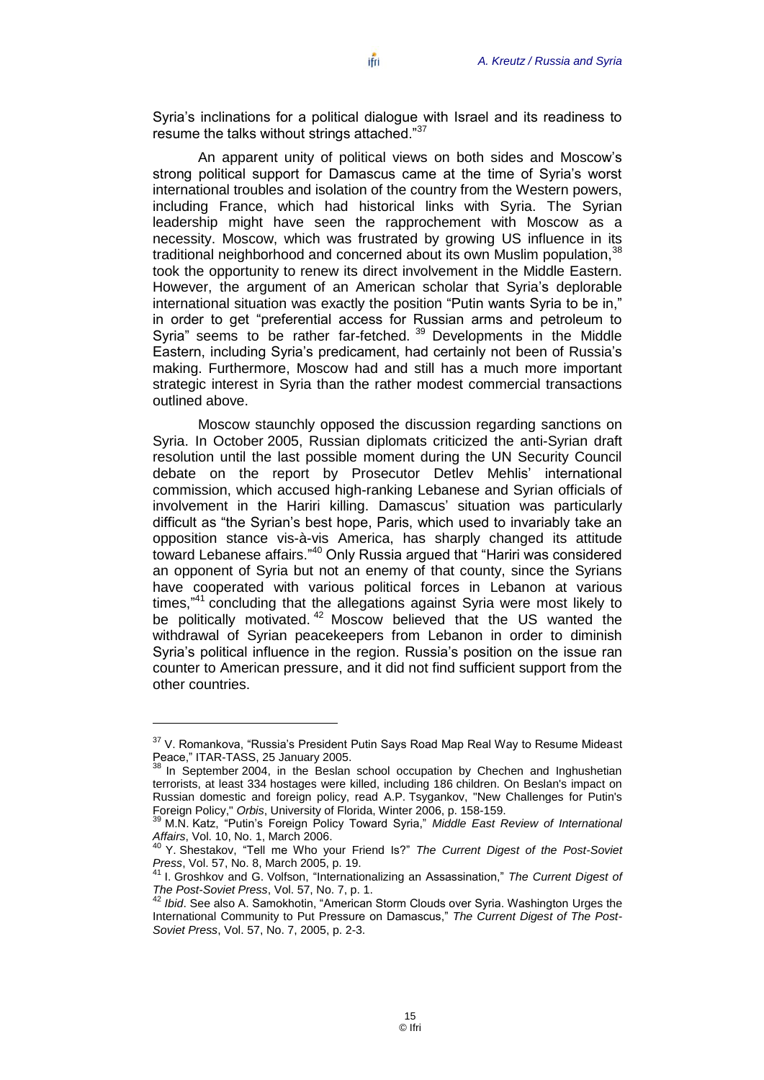Syria's inclinations for a political dialogue with Israel and its readiness to resume the talks without strings attached. $37$ 

An apparent unity of political views on both sides and Moscow's strong political support for Damascus came at the time of Syria's worst international troubles and isolation of the country from the Western powers, including France, which had historical links with Syria. The Syrian leadership might have seen the rapprochement with Moscow as a necessity. Moscow, which was frustrated by growing US influence in its traditional neighborhood and concerned about its own Muslim population.<sup>38</sup> took the opportunity to renew its direct involvement in the Middle Eastern. However, the argument of an American scholar that Syria's deplorable international situation was exactly the position "Putin wants Syria to be in," in order to get "preferential access for Russian arms and petroleum to Syria" seems to be rather far-fetched. <sup>39</sup> Developments in the Middle Eastern, including Syria's predicament, had certainly not been of Russia's making. Furthermore, Moscow had and still has a much more important strategic interest in Syria than the rather modest commercial transactions outlined above.

Moscow staunchly opposed the discussion regarding sanctions on Syria. In October 2005, Russian diplomats criticized the anti-Syrian draft resolution until the last possible moment during the UN Security Council debate on the report by Prosecutor Detlev Mehlis' international commission, which accused high-ranking Lebanese and Syrian officials of involvement in the Hariri killing. Damascus' situation was particularly difficult as "the Syrian's best hope, Paris, which used to invariably take an opposition stance vis-à-vis America, has sharply changed its attitude toward Lebanese affairs."<sup>40</sup> Only Russia argued that "Hariri was considered an opponent of Syria but not an enemy of that county, since the Syrians have cooperated with various political forces in Lebanon at various times,"<sup>41</sup> concluding that the allegations against Syria were most likely to be politically motivated.<sup>42</sup> Moscow believed that the US wanted the withdrawal of Syrian peacekeepers from Lebanon in order to diminish Syria's political influence in the region. Russia's position on the issue ran counter to American pressure, and it did not find sufficient support from the other countries.

 $37$  V. Romankova, "Russia's President Putin Says Road Map Real Way to Resume Mideast Peace," ITAR-TASS, 25 January 2005.

In September 2004, in the Beslan school occupation by Chechen and Inghushetian terrorists, at least 334 hostages were killed, including 186 children. On Beslan's impact on Russian domestic and foreign policy, read A.P. Tsygankov, "New Challenges for Putin's Foreign Policy," *Orbis*, University of Florida, Winter 2006, p. 158-159.

<sup>&</sup>lt;sup>39</sup> M.N. Katz, "Putin's Foreign Policy Toward Syria," Middle East Review of International *Affairs*, Vol. 10, No. 1, March 2006.

<sup>&</sup>lt;sup>40</sup> Y. Shestakov, "Tell me Who your Friend Is?" The Current Digest of the Post-Soviet *Press*, Vol. 57, No. 8, March 2005, p. 19.

<sup>&</sup>lt;sup>41</sup> I. Groshkov and G. Volfson, "Internationalizing an Assassination," The Current Digest of *The Post-Soviet Press*, Vol. 57, No. 7, p. 1.

<sup>&</sup>lt;sup>2</sup> Ibid. See also A. Samokhotin, "American Storm Clouds over Syria. Washington Urges the International Community to Put Pressure on Damascus," The Current Digest of The Post-*Soviet Press*, Vol. 57, No. 7, 2005, p. 2-3.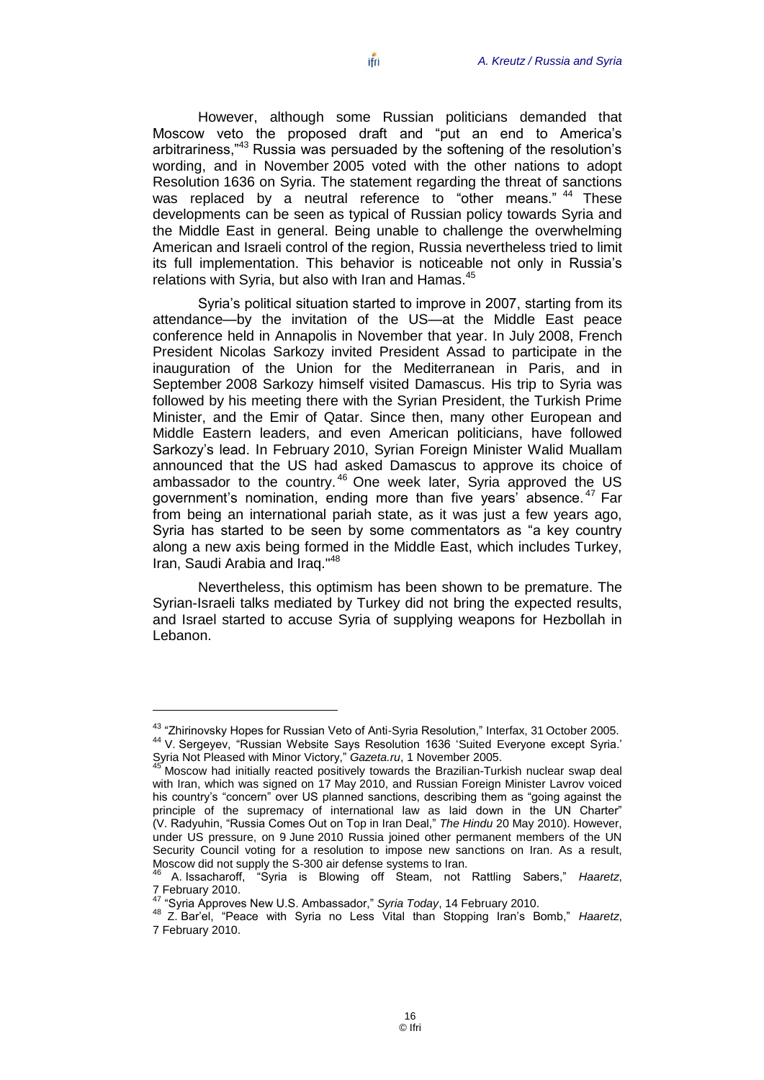However, although some Russian politicians demanded that Moscow veto the proposed draft and "put an end to America's arbitrariness,<sup>43</sup> Russia was persuaded by the softening of the resolution's wording, and in November 2005 voted with the other nations to adopt Resolution 1636 on Syria. The statement regarding the threat of sanctions was replaced by a neutral reference to "other means." <sup>44</sup> These developments can be seen as typical of Russian policy towards Syria and the Middle East in general. Being unable to challenge the overwhelming American and Israeli control of the region, Russia nevertheless tried to limit its full implementation. This behavior is noticeable not only in Russia's relations with Syria, but also with Iran and Hamas.<sup>45</sup>

Syria's political situation started to improve in 2007, starting from its attendance—by the invitation of the US—at the Middle East peace conference held in Annapolis in November that year. In July 2008, French President Nicolas Sarkozy invited President Assad to participate in the inauguration of the Union for the Mediterranean in Paris, and in September 2008 Sarkozy himself visited Damascus. His trip to Syria was followed by his meeting there with the Syrian President, the Turkish Prime Minister, and the Emir of Qatar. Since then, many other European and Middle Eastern leaders, and even American politicians, have followed Sarkozy's lead. In February 2010, Syrian Foreign Minister Walid Muallam announced that the US had asked Damascus to approve its choice of ambassador to the country.<sup>46</sup> One week later, Syria approved the US government's nomination, ending more than five years' absence.<sup>47</sup> Far from being an international pariah state, as it was just a few years ago, Syria has started to be seen by some commentators as "a key country along a new axis being formed in the Middle East, which includes Turkey, Iran, Saudi Arabia and Iraq."<sup>48</sup>

Nevertheless, this optimism has been shown to be premature. The Syrian-Israeli talks mediated by Turkey did not bring the expected results, and Israel started to accuse Syria of supplying weapons for Hezbollah in Lebanon.

<sup>&</sup>lt;sup>43</sup> "Zhirinovsky Hopes for Russian Veto of Anti-Syria Resolution," Interfax, 31 October 2005. 44 V. Sergeyev, "Russian Website Says Resolution 1636 'Suited Everyone except Syria.' Syria Not Pleased with Minor Victory," Gazeta.ru, 1 November 2005.

<sup>45</sup> Moscow had initially reacted positively towards the Brazilian-Turkish nuclear swap deal with Iran, which was signed on 17 May 2010, and Russian Foreign Minister Lavrov voiced his country's "concern" over US planned sanctions, describing them as "going against the principle of the supremacy of international law as laid down in the UN Charter" (V. Radyuhin, "Russia Comes Out on Top in Iran Deal," The Hindu 20 May 2010). However, under US pressure, on 9 June 2010 Russia joined other permanent members of the UN Security Council voting for a resolution to impose new sanctions on Iran. As a result, Moscow did not supply the S-300 air defense systems to Iran.

<sup>&</sup>lt;sup>46</sup> A. Issacharoff, "Syria is Blowing off Steam, not Rattling Sabers," Haaretz, 7 February 2010.

<sup>47</sup> ―Syria Approves New U.S. Ambassador,‖ *Syria Today*, 14 February 2010.

<sup>48</sup> Z. Bar'el, "Peace with Syria no Less Vital than Stopping Iran's Bomb," Haaretz, 7 February 2010.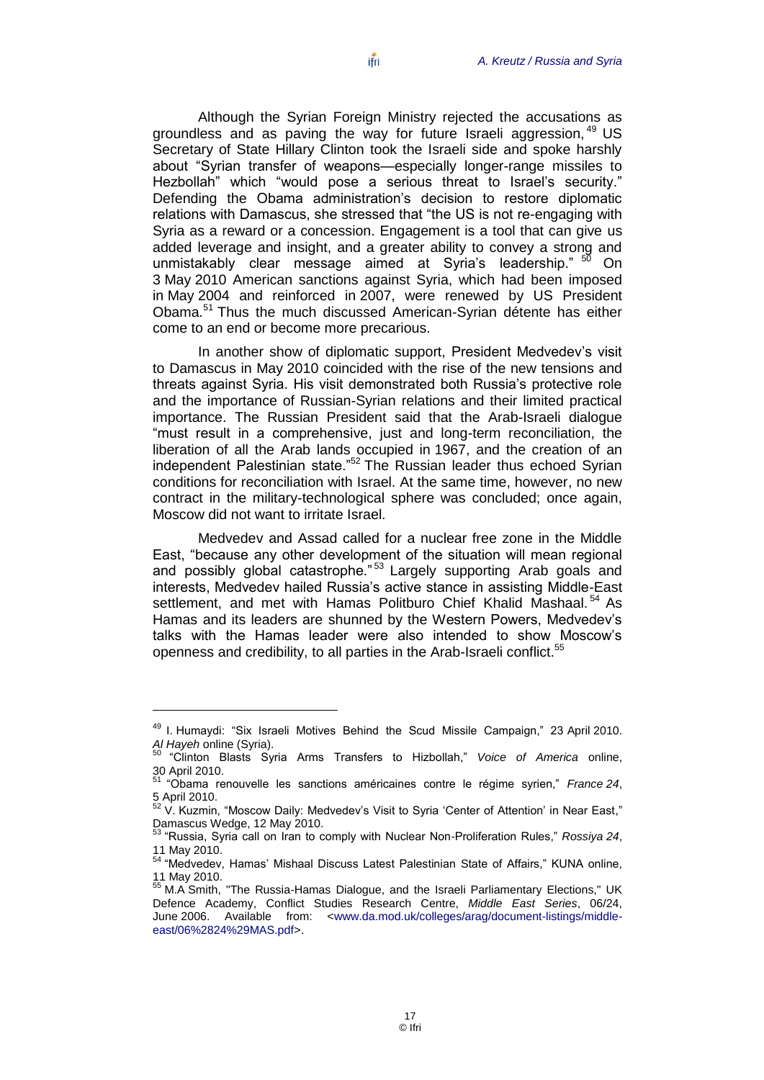about "Syrian transfer of weapons—especially longer-range missiles to Hezbollah" which "would pose a serious threat to Israel's security." Defending the Obama administration's decision to restore diplomatic relations with Damascus, she stressed that "the US is not re-engaging with Syria as a reward or a concession. Engagement is a tool that can give us added leverage and insight, and a greater ability to convey a strong and unmistakably clear message aimed at Syria's leadership." <sup>50</sup> On 3 May 2010 American sanctions against Syria, which had been imposed in May 2004 and reinforced in 2007, were renewed by US President Obama.<sup>51</sup> Thus the much discussed American-Syrian détente has either come to an end or become more precarious.

In another show of diplomatic support, President Medvedev's visit to Damascus in May 2010 coincided with the rise of the new tensions and threats against Syria. His visit demonstrated both Russia's protective role and the importance of Russian-Syrian relations and their limited practical importance. The Russian President said that the Arab-Israeli dialogue "must result in a comprehensive, just and long-term reconciliation, the liberation of all the Arab lands occupied in 1967, and the creation of an independent Palestinian state."<sup>52</sup> The Russian leader thus echoed Syrian conditions for reconciliation with Israel. At the same time, however, no new contract in the military-technological sphere was concluded; once again, Moscow did not want to irritate Israel.

Medvedev and Assad called for a nuclear free zone in the Middle East, "because any other development of the situation will mean regional and possibly global catastrophe."<sup>53</sup> Largely supporting Arab goals and interests, Medvedev hailed Russia's active stance in assisting Middle-East settlement, and met with Hamas Politburo Chief Khalid Mashaal.<sup>54</sup> As Hamas and its leaders are shunned by the Western Powers, Medvedev's talks with the Hamas leader were also intended to show Moscow's openness and credibility, to all parties in the Arab-Israeli conflict.<sup>55</sup>

<sup>&</sup>lt;sup>49</sup> I. Humaydi: "Six Israeli Motives Behind the Scud Missile Campaign," 23 April 2010. *Al Hayeh* online (Syria).

<sup>&</sup>lt;sup>50</sup> "Clinton Blasts Syria Arms Transfers to Hizbollah," Voice of America online, 30 April 2010.

<sup>&</sup>lt;sup>51</sup> "Obama renouvelle les sanctions américaines contre le régime syrien," *France* 24, 5 April 2010.

<sup>52</sup> April 2010.<br><sup>52</sup> V. Kuzmin, "Moscow Daily: Medvedev's Visit to Syria 'Center of Attention' in Near East," Damascus Wedge, 12 May 2010.

<sup>53</sup> ―Russia, Syria call on Iran to comply with Nuclear Non-Proliferation Rules,‖ *Rossiya 24*, 11 May 2010.

<sup>54 &</sup>quot;Medvedev, Hamas' Mishaal Discuss Latest Palestinian State of Affairs," KUNA online, 11 May 2010.

 $55$  M.A Smith, "The Russia-Hamas Dialogue, and the Israeli Parliamentary Elections," UK Defence Academy, Conflict Studies Research Centre, *Middle East Series*, 06/24, June 2006. Available from: [<www.da.mod.uk/colleges/arag/document-listings/middle](http://www.da.mod.uk/colleges/arag/document-listings/middle-east/06%2824%29MAS.pdf)[east/06%2824%29MAS.pdf>](http://www.da.mod.uk/colleges/arag/document-listings/middle-east/06%2824%29MAS.pdf).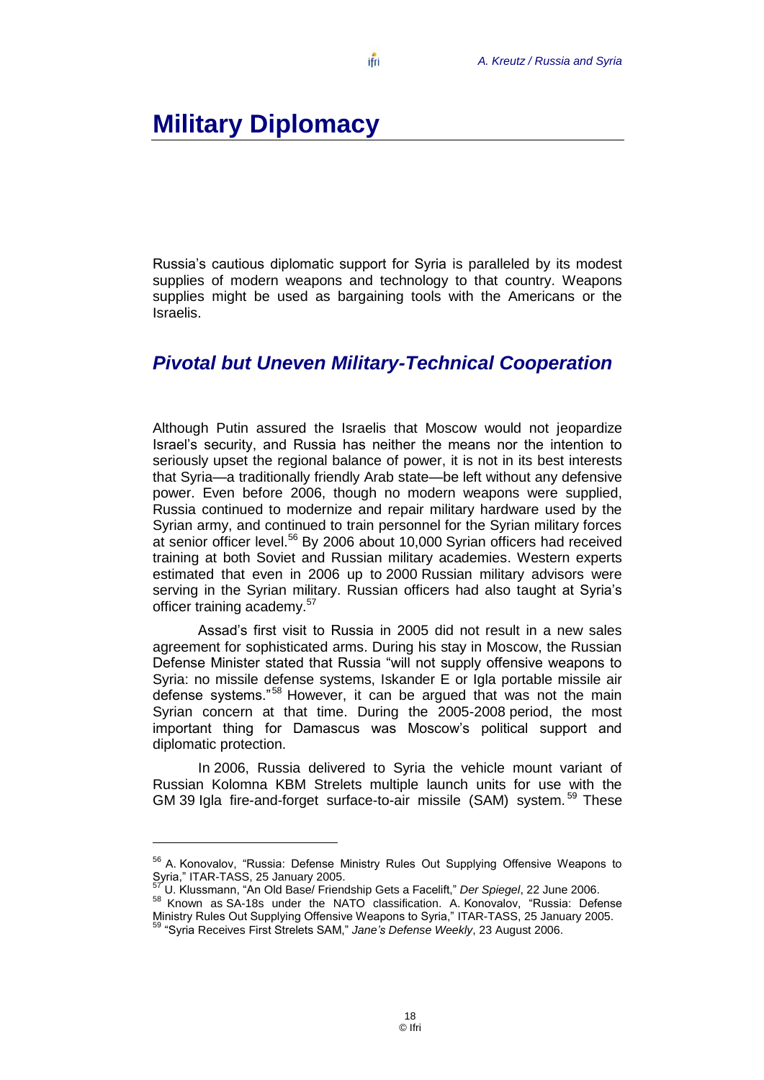## <span id="page-19-0"></span>**Military Diplomacy**

Russia's cautious diplomatic support for Syria is paralleled by its modest supplies of modern weapons and technology to that country. Weapons supplies might be used as bargaining tools with the Americans or the Israelis.

#### <span id="page-19-1"></span>*Pivotal but Uneven Military-Technical Cooperation*

Although Putin assured the Israelis that Moscow would not jeopardize Israel's security, and Russia has neither the means nor the intention to seriously upset the regional balance of power, it is not in its best interests that Syria—a traditionally friendly Arab state—be left without any defensive power. Even before 2006, though no modern weapons were supplied, Russia continued to modernize and repair military hardware used by the Syrian army, and continued to train personnel for the Syrian military forces at senior officer level.<sup>56</sup> By 2006 about 10,000 Syrian officers had received training at both Soviet and Russian military academies. Western experts estimated that even in 2006 up to 2000 Russian military advisors were serving in the Syrian military. Russian officers had also taught at Syria's officer training academy.<sup>57</sup>

Assad's first visit to Russia in 2005 did not result in a new sales agreement for sophisticated arms. During his stay in Moscow, the Russian Defense Minister stated that Russia "will not supply offensive weapons to Syria: no missile defense systems, Iskander E or Igla portable missile air defense systems."<sup>58</sup> However, it can be arqued that was not the main Syrian concern at that time. During the 2005-2008 period, the most important thing for Damascus was Moscow's political support and diplomatic protection.

In 2006, Russia delivered to Syria the vehicle mount variant of Russian Kolomna KBM Strelets multiple launch units for use with the GM 39 Igla fire-and-forget surface-to-air missile (SAM) system.<sup>59</sup> These

<sup>57</sup> U. Klussmann, ―An Old Base/ Friendship Gets a Facelift,‖ *Der Spiegel*, 22 June 2006.

<sup>&</sup>lt;sup>56</sup> A. Konovalov, "Russia: Defense Ministry Rules Out Supplying Offensive Weapons to Syria," ITAR-TASS, 25 January 2005.

<sup>58</sup> Known as SA-18s under the NATO classification. A. Konovalov, "Russia: Defense Ministry Rules Out Supplying Offensive Weapons to Syria,‖ ITAR-TASS, 25 January 2005. <sup>59</sup> "Syria Receives First Strelets SAM," Jane's Defense Weekly, 23 August 2006.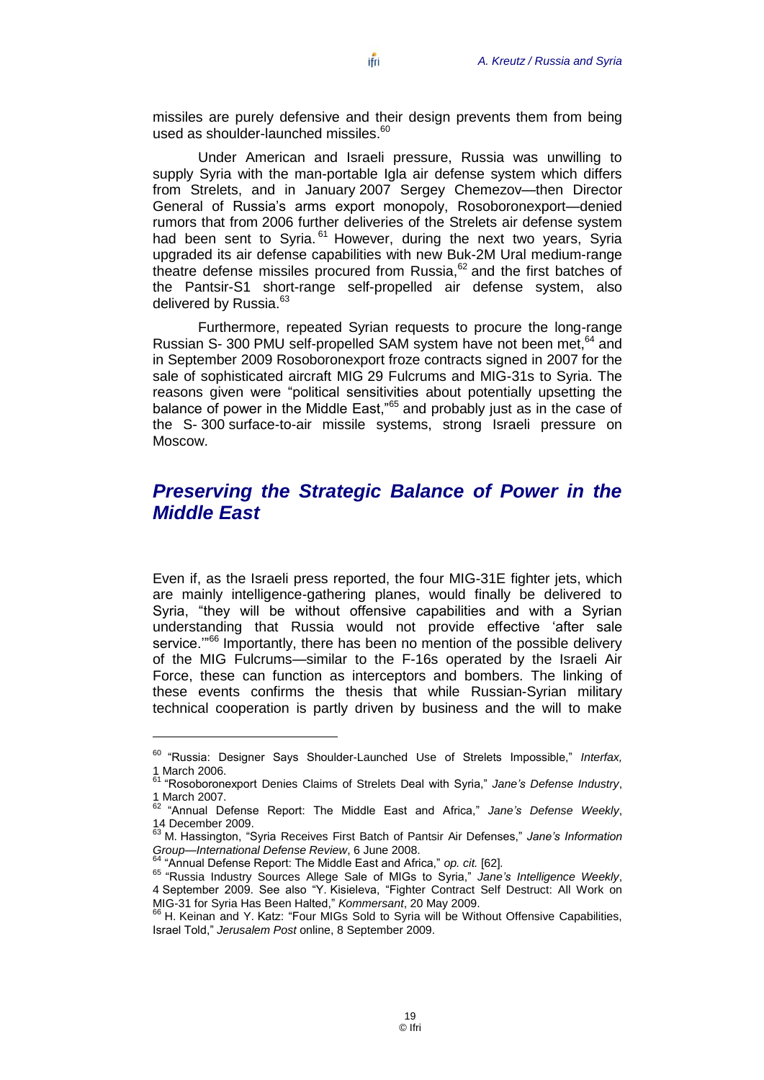missiles are purely defensive and their design prevents them from being used as shoulder-launched missiles.<sup>60</sup>

Under American and Israeli pressure, Russia was unwilling to supply Syria with the man-portable Igla air defense system which differs from Strelets, and in January 2007 Sergey Chemezov—then Director General of Russia's arms export monopoly, Rosoboronexport—denied rumors that from 2006 further deliveries of the Strelets air defense system had been sent to Syria.<sup>61</sup> However, during the next two years, Syria upgraded its air defense capabilities with new Buk-2M Ural medium-range theatre defense missiles procured from Russia, $62$  and the first batches of the Pantsir-S1 short-range self-propelled air defense system, also delivered by Russia.<sup>63</sup>

Furthermore, repeated Syrian requests to procure the long-range Russian S- 300 PMU self-propelled SAM system have not been met, <sup>64</sup> and in September 2009 Rosoboronexport froze contracts signed in 2007 for the sale of sophisticated aircraft MIG 29 Fulcrums and MIG-31s to Syria. The reasons given were "political sensitivities about potentially upsetting the balance of power in the Middle East,"<sup>65</sup> and probably just as in the case of the S- 300 surface-to-air missile systems, strong Israeli pressure on Moscow.

#### <span id="page-20-0"></span>*Preserving the Strategic Balance of Power in the Middle East*

Even if, as the Israeli press reported, the four MIG-31E fighter jets, which are mainly intelligence-gathering planes, would finally be delivered to Syria, "they will be without offensive capabilities and with a Syrian understanding that Russia would not provide effective 'after sale service."<sup>66</sup> Importantly, there has been no mention of the possible delivery of the MIG Fulcrums—similar to the F-16s operated by the Israeli Air Force, these can function as interceptors and bombers. The linking of these events confirms the thesis that while Russian-Syrian military technical cooperation is partly driven by business and the will to make

 $\overline{a}$ 

<sup>&</sup>lt;sup>60</sup> "Russia: Designer Says Shoulder-Launched Use of Strelets Impossible," Interfax, 1 March 2006.

<sup>&</sup>lt;sup>61</sup> "Rosoboronexport Denies Claims of Strelets Deal with Syria," Jane's Defense Industry, 1 March 2007.

<sup>62</sup> ―Annual Defense Report: The Middle East and Africa,‖ *Jane's Defense Weekly*, 14 December 2009.

<sup>&</sup>lt;sup>3</sup> M. Hassington, "Syria Receives First Batch of Pantsir Air Defenses." Jane's Information *Group—International Defense Review*, 6 June 2008.<br><sup>64</sup> "Annual Defense Review, 6 June 2008.

<sup>&</sup>quot;Annual Defense Report: The Middle East and Africa," op. cit. [62].

<sup>&</sup>lt;sup>65</sup> "Russia Industry Sources Allege Sale of MIGs to Syria," Jane's Intelligence Weekly, 4 September 2009. See also "Y. Kisieleva, "Fighter Contract Self Destruct: All Work on MIG-31 for Syria Has Been Halted," *Kommersant*, 20 May 2009.

 $6<sup>6</sup>$  H. Keinan and Y. Katz: "Four MIGs Sold to Syria will be Without Offensive Capabilities, Israel Told,‖ *Jerusalem Post* online, 8 September 2009.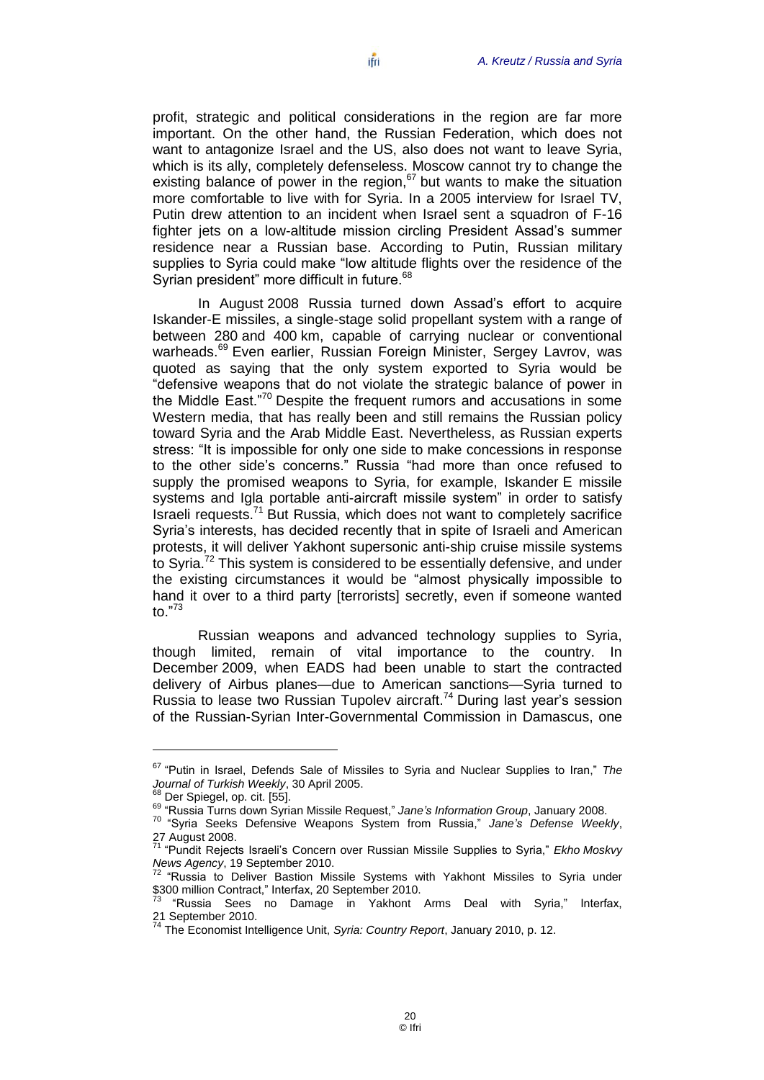profit, strategic and political considerations in the region are far more important. On the other hand, the Russian Federation, which does not want to antagonize Israel and the US, also does not want to leave Syria, which is its ally, completely defenseless. Moscow cannot try to change the existing balance of power in the region, $67$  but wants to make the situation more comfortable to live with for Syria. In a 2005 interview for Israel TV, Putin drew attention to an incident when Israel sent a squadron of F-16 fighter jets on a low-altitude mission circling President Assad's summer residence near a Russian base. According to Putin, Russian military supplies to Syria could make "low altitude flights over the residence of the Syrian president" more difficult in future.<sup>68</sup>

In August 2008 Russia turned down Assad's effort to acquire Iskander-E missiles, a single-stage solid propellant system with a range of between 280 and 400 km, capable of carrying nuclear or conventional warheads.<sup>69</sup> Even earlier, Russian Foreign Minister, Sergey Lavrov, was quoted as saying that the only system exported to Syria would be "defensive weapons that do not violate the strategic balance of power in the Middle East."<sup>70</sup> Despite the frequent rumors and accusations in some Western media, that has really been and still remains the Russian policy toward Syria and the Arab Middle East. Nevertheless, as Russian experts stress: "It is impossible for only one side to make concessions in response to the other side's concerns." Russia "had more than once refused to supply the promised weapons to Syria, for example, Iskander E missile systems and Igla portable anti-aircraft missile system" in order to satisfy  $Israeli$  requests.<sup>71</sup> But Russia, which does not want to completely sacrifice Syria's interests, has decided recently that in spite of Israeli and American protests, it will deliver Yakhont supersonic anti-ship cruise missile systems to Syria.<sup>72</sup> This system is considered to be essentially defensive, and under the existing circumstances it would be "almost physically impossible to hand it over to a third party [terrorists] secretly, even if someone wanted to."<sup>73</sup>

Russian weapons and advanced technology supplies to Syria, though limited, remain of vital importance to the country. In December 2009, when EADS had been unable to start the contracted delivery of Airbus planes—due to American sanctions—Syria turned to Russia to lease two Russian Tupolev aircraft.<sup>74</sup> During last year's session of the Russian-Syrian Inter-Governmental Commission in Damascus, one

<sup>&</sup>lt;sup>67</sup> "Putin in Israel, Defends Sale of Missiles to Syria and Nuclear Supplies to Iran," The *Journal of Turkish Weekly*, 30 April 2005.

 $68$  Der Spiegel, op. cit. [55].

<sup>69 &</sup>quot;Russia Turns down Syrian Missile Request," Jane's *Information Group*, January 2008.

<sup>70</sup> ―Syria Seeks Defensive Weapons System from Russia,‖ *Jane's Defense Weekly*, 27 August 2008.

<sup>&</sup>lt;sup>71</sup> "Pundit Rejects Israeli's Concern over Russian Missile Supplies to Syria," Ekho Moskvy *News Agency*, 19 September 2010.

 $72$  "Russia to Deliver Bastion Missile Systems with Yakhont Missiles to Syria under \$300 million Contract," Interfax, 20 September 2010.

<sup>&</sup>quot;Russia Sees no Damage in Yakhont Arms Deal with Syria," Interfax, 21 September 2010.

<sup>74</sup> The Economist Intelligence Unit, *Syria: Country Report*, January 2010, p. 12.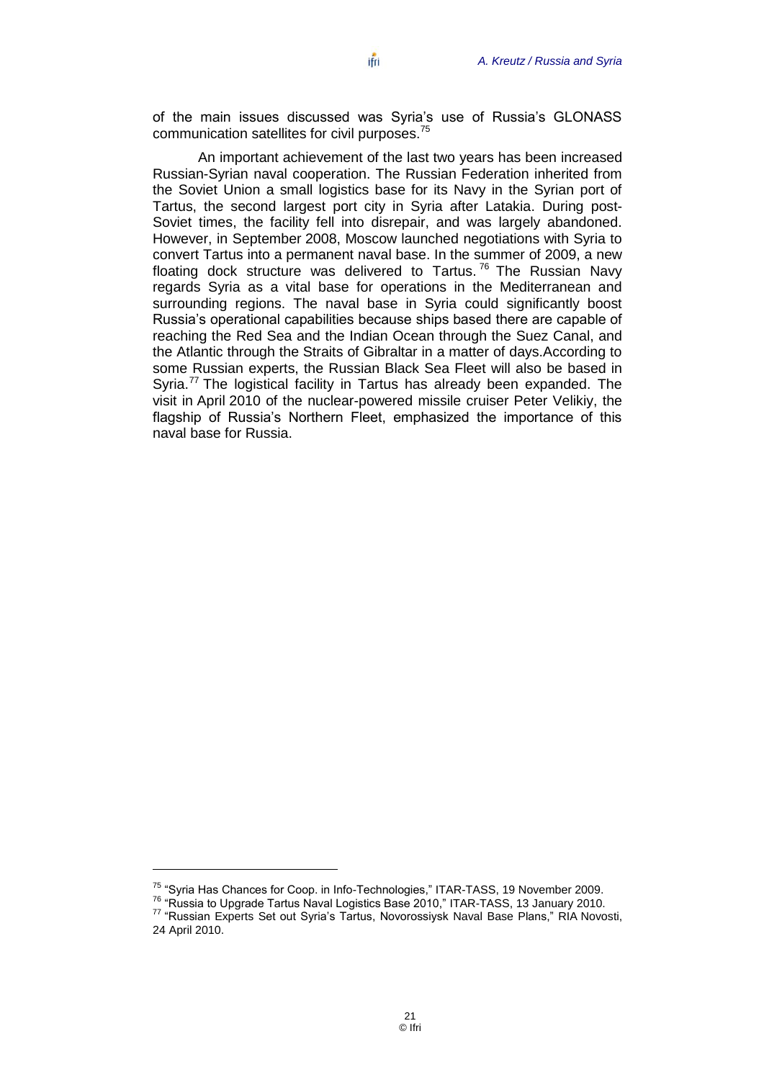of the main issues discussed was Syria's use of Russia's GLONASS communication satellites for civil purposes.<sup>75</sup>

An important achievement of the last two years has been increased Russian-Syrian naval cooperation. The Russian Federation inherited from the Soviet Union a small logistics base for its Navy in the Syrian port of Tartus, the second largest port city in Syria after Latakia. During post-Soviet times, the facility fell into disrepair, and was largely abandoned. However, in September 2008, Moscow launched negotiations with Syria to convert Tartus into a permanent naval base. In the summer of 2009, a new floating dock structure was delivered to Tartus.<sup>76</sup> The Russian Navy regards Syria as a vital base for operations in the Mediterranean and surrounding regions. The naval base in Syria could significantly boost Russia's operational capabilities because ships based there are capable of reaching the Red Sea and the Indian Ocean through the Suez Canal, and the Atlantic through the Straits of Gibraltar in a matter of days.According to some Russian experts, the Russian Black Sea Fleet will also be based in Syria.<sup>77</sup> The logistical facility in Tartus has already been expanded. The visit in April 2010 of the nuclear-powered missile cruiser Peter Velikiy, the flagship of Russia's Northern Fleet, emphasized the importance of this naval base for Russia.

 $\overline{a}$ 

 $75$  "Syria Has Chances for Coop. in Info-Technologies," ITAR-TASS, 19 November 2009.

 $76$  "Russia to Upgrade Tartus Naval Logistics Base 2010," ITAR-TASS, 13 January 2010.

Russia io Opgrade Tarius Navar Logicino Duco Loro, Transacce, Norman II.<br><sup>77</sup> "Russian Experts Set out Syria's Tartus, Novorossiysk Naval Base Plans," RIA Novosti, 24 April 2010.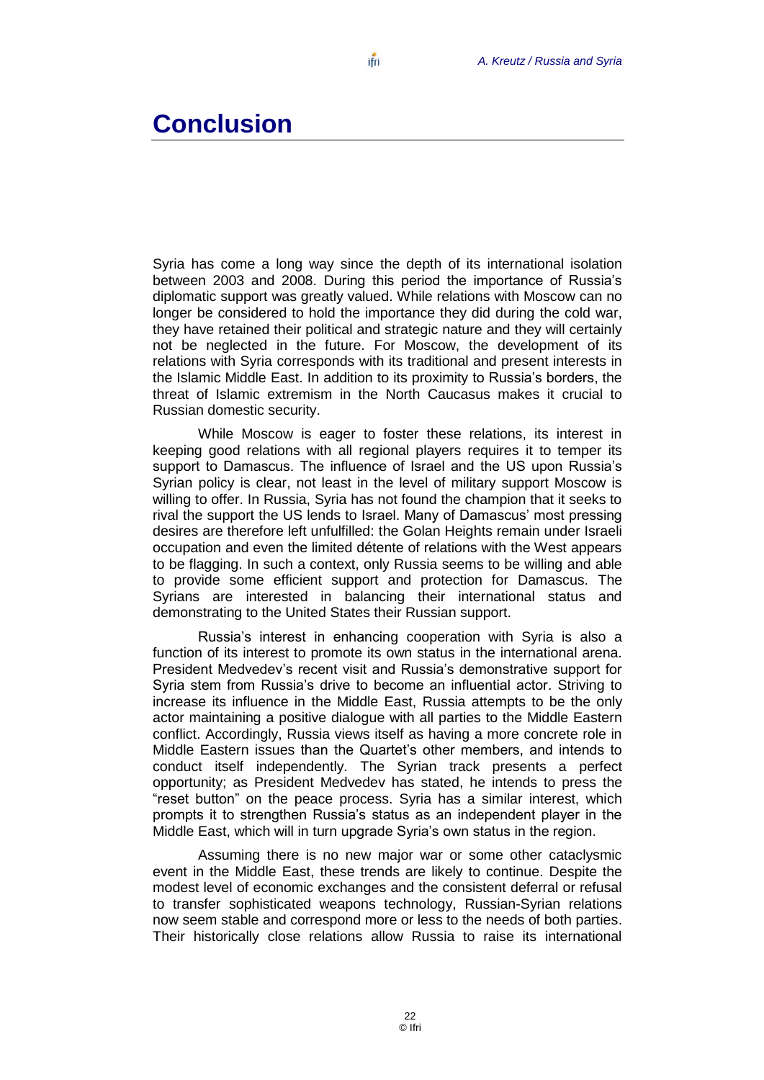## <span id="page-23-0"></span>**Conclusion**

Syria has come a long way since the depth of its international isolation between 2003 and 2008. During this period the importance of Russia's diplomatic support was greatly valued. While relations with Moscow can no longer be considered to hold the importance they did during the cold war, they have retained their political and strategic nature and they will certainly not be neglected in the future. For Moscow, the development of its relations with Syria corresponds with its traditional and present interests in the Islamic Middle East. In addition to its proximity to Russia's borders, the threat of Islamic extremism in the North Caucasus makes it crucial to Russian domestic security.

While Moscow is eager to foster these relations, its interest in keeping good relations with all regional players requires it to temper its support to Damascus. The influence of Israel and the US upon Russia's Syrian policy is clear, not least in the level of military support Moscow is willing to offer. In Russia, Syria has not found the champion that it seeks to rival the support the US lends to Israel. Many of Damascus' most pressing desires are therefore left unfulfilled: the Golan Heights remain under Israeli occupation and even the limited détente of relations with the West appears to be flagging. In such a context, only Russia seems to be willing and able to provide some efficient support and protection for Damascus. The Syrians are interested in balancing their international status and demonstrating to the United States their Russian support.

Russia's interest in enhancing cooperation with Syria is also a function of its interest to promote its own status in the international arena. President Medvedev's recent visit and Russia's demonstrative support for Syria stem from Russia's drive to become an influential actor. Striving to increase its influence in the Middle East, Russia attempts to be the only actor maintaining a positive dialogue with all parties to the Middle Eastern conflict. Accordingly, Russia views itself as having a more concrete role in Middle Eastern issues than the Quartet's other members, and intends to conduct itself independently. The Syrian track presents a perfect opportunity; as President Medvedev has stated, he intends to press the "reset button" on the peace process. Syria has a similar interest, which prompts it to strengthen Russia's status as an independent player in the Middle East, which will in turn upgrade Syria's own status in the region.

Assuming there is no new major war or some other cataclysmic event in the Middle East, these trends are likely to continue. Despite the modest level of economic exchanges and the consistent deferral or refusal to transfer sophisticated weapons technology, Russian-Syrian relations now seem stable and correspond more or less to the needs of both parties. Their historically close relations allow Russia to raise its international